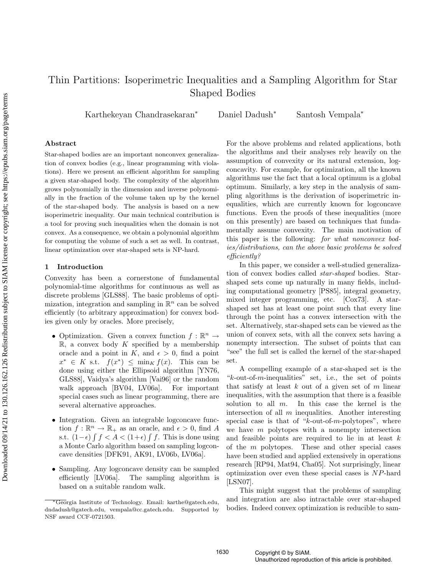## Thin Partitions: Isoperimetric Inequalities and a Sampling Algorithm for Star Shaped Bodies

Karthekeyan Chandrasekaran<sup>∗</sup> Daniel Dadush<sup>∗</sup> Santosh Vempala<sup>∗</sup>

### Abstract

Star-shaped bodies are an important nonconvex generalization of convex bodies (e.g., linear programming with violations). Here we present an efficient algorithm for sampling a given star-shaped body. The complexity of the algorithm grows polynomially in the dimension and inverse polynomially in the fraction of the volume taken up by the kernel of the star-shaped body. The analysis is based on a new isoperimetric inequality. Our main technical contribution is a tool for proving such inequalities when the domain is not convex. As a consequence, we obtain a polynomial algorithm for computing the volume of such a set as well. In contrast, linear optimization over star-shaped sets is NP-hard.

### 1 Introduction

Convexity has been a cornerstone of fundamental polynomial-time algorithms for continuous as well as discrete problems [GLS88]. The basic problems of optimization, integration and sampling in  $\mathbb{R}^n$  can be solved efficiently (to arbitrary approximation) for convex bodies given only by oracles. More precisely,

- Optimization. Given a convex function  $f : \mathbb{R}^n \to$  $\mathbb{R}$ , a convex body K specified by a membership oracle and a point in K, and  $\epsilon > 0$ , find a point  $x^* \in K$  s.t.  $f(x^*) \leq \min_K f(x)$ . This can be done using either the Ellipsoid algorithm [YN76, GLS88], Vaidya's algorithm [Vai96] or the random walk approach [BV04, LV06a]. For important special cases such as linear programming, there are several alternative approaches.
- Integration. Given an integrable logconcave function  $f : \mathbb{R}^n \to \mathbb{R}_+$  as an oracle, and  $\epsilon > 0$ , find A s.t.  $(1-\epsilon)$   $\int f < A < (1+\epsilon) \int f$ . This is done using a Monte Carlo algorithm based on sampling logconcave densities [DFK91, AK91, LV06b, LV06a].
- Sampling. Any logconcave density can be sampled efficiently [LV06a]. The sampling algorithm is based on a suitable random walk.

For the above problems and related applications, both the algorithms and their analyses rely heavily on the assumption of convexity or its natural extension, logconcavity. For example, for optimization, all the known algorithms use the fact that a local optimum is a global optimum. Similarly, a key step in the analysis of sampling algorithms is the derivation of isoperimetric inequalities, which are currently known for logconcave functions. Even the proofs of these inequalities (more on this presently) are based on techniques that fundamentally assume convexity. The main motivation of this paper is the following: for what nonconvex bodies/distributions, can the above basic problems be solved efficiently? Here  $\alpha$  article is problem in the state of the state is problem in the state or the state of the state or the state or the state or the state or the state or the state or the state or the state or the state of the state

In this paper, we consider a well-studied generalization of convex bodies called star-shaped bodies. Starshaped sets come up naturally in many fields, including computational geometry [PS85], integral geometry, mixed integer programming, etc. [Cox73]. A starshaped set has at least one point such that every line through the point has a convex intersection with the set. Alternatively, star-shaped sets can be viewed as the union of convex sets, with all the convex sets having a nonempty intersection. The subset of points that can "see" the full set is called the kernel of the star-shaped set.

A compelling example of a star-shaped set is the " $k$ -out-of-m-inequalities" set, i.e., the set of points that satisfy at least  $k$  out of a given set of  $m$  linear inequalities, with the assumption that there is a feasible solution to all  $m$ . In this case the kernel is the intersection of all  $m$  inequalities. Another interesting special case is that of " $k$ -out-of-m-polytopes", where we have  $m$  polytopes with a nonempty intersection and feasible points are required to lie in at least k of the  $m$  polytopes. These and other special cases have been studied and applied extensively in operations research [RP94, Mat94, Cha05]. Not surprisingly, linear optimization over even these special cases is NP-hard [LSN07].

This might suggest that the problems of sampling and integration are also intractable over star-shaped bodies. Indeed convex optimization is reducible to sam-

<sup>∗</sup>Georgia Institute of Technology. Email: karthe@gatech.edu, dndadush@gatech.edu, vempala@cc.gatech.edu. Supported by NSF award CCF-0721503.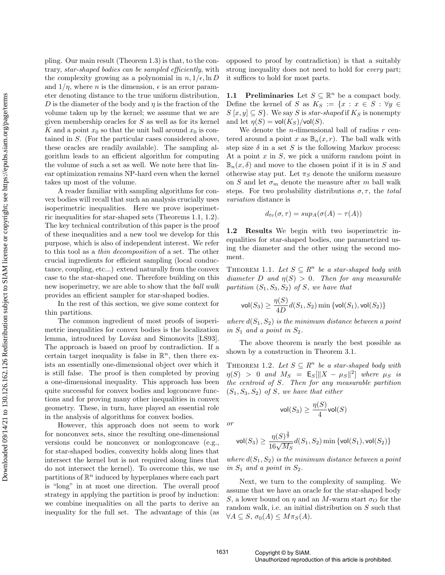pling. Our main result (Theorem 1.3) is that, to the contrary, star-shaped bodies can be sampled efficiently, with the complexity growing as a polynomial in  $n, 1/\epsilon, \ln D$ and  $1/\eta$ , where *n* is the dimension,  $\epsilon$  is an error parameter denoting distance to the true uniform distribution, D is the diameter of the body and  $\eta$  is the fraction of the volume taken up by the kernel; we assume that we are given membership oracles for  $S$  as well as for its kernel K and a point  $x_0$  so that the unit ball around  $x_0$  is contained in S. (For the particular cases considered above, these oracles are readily available). The sampling algorithm leads to an efficient algorithm for computing the volume of such a set as well. We note here that linear optimization remains NP-hard even when the kernel takes up most of the volume.

A reader familiar with sampling algorithms for convex bodies will recall that such an analysis crucially uses isoperimetric inequalities. Here we prove isoperimetric inequalities for star-shaped sets (Theorems 1.1, 1.2). The key technical contribution of this paper is the proof of these inequalities and a new tool we develop for this purpose, which is also of independent interest. We refer to this tool as a thin decomposition of a set. The other crucial ingredients for efficient sampling (local conductance, coupling, etc...) extend naturally from the convex case to the star-shaped one. Therefore building on this new isoperimetry, we are able to show that the ball walk provides an efficient sampler for star-shaped bodies. Under the control of the control of the control of the control of the control of the control of the control of the state of the state of the control of the control of the control of the control of the control of the contr

In the rest of this section, we give some context for thin partitions.

The common ingredient of most proofs of isoperimetric inequalities for convex bodies is the localization lemma, introduced by Lovász and Simonovits [LS93]. The approach is based on proof by contradiction. If a certain target inequality is false in  $\mathbb{R}^n$ , then there exists an essentially one-dimensional object over which it is still false. The proof is then completed by proving a one-dimensional inequality. This approach has been quite successful for convex bodies and logconcave functions and for proving many other inequalities in convex geometry. These, in turn, have played an essential role in the analysis of algorithms for convex bodies.

However, this approach does not seem to work for nonconvex sets, since the resulting one-dimensional versions could be nonconvex or nonlogconcave (e.g., for star-shaped bodies, convexity holds along lines that intersect the kernel but is not required along lines that do not intersect the kernel). To overcome this, we use partitions of  $\mathbb{R}^n$  induced by hyperplanes where each part is "long" in at most one direction. The overall proof strategy in applying the partition is proof by induction: we combine inequalities on all the parts to derive an inequality for the full set. The advantage of this (as opposed to proof by contradiction) is that a suitably strong inequality does not need to hold for every part; it suffices to hold for most parts.

**1.1 Preliminaries** Let  $S \subseteq \mathbb{R}^n$  be a compact body. Define the kernel of S as  $K_S := \{x : x \in S : \forall y \in S\}$  $S[x, y] \subseteq S$ . We say S is star-shaped if  $K_S$  is nonempty and let  $\eta(S) = \text{vol}(K_S)/\text{vol}(S)$ .

We denote the *n*-dimensional ball of radius  $r$  centered around a point x as  $\mathbb{B}_n(x,r)$ . The ball walk with step size  $\delta$  in a set S is the following Markov process: At a point  $x$  in  $S$ , we pick a uniform random point in  $\mathbb{B}_n(x,\delta)$  and move to the chosen point if it is in S and otherwise stay put. Let  $\pi_S$  denote the uniform measure on S and let  $\sigma_m$  denote the measure after m ball walk steps. For two probability distributions  $\sigma, \tau$ , the total variation distance is

$$
d_{tv}(\sigma, \tau) = \sup_A(\sigma(A) - \tau(A))
$$

1.2 Results We begin with two isoperimetric inequalities for star-shaped bodies, one parametrized using the diameter and the other using the second moment.

THEOREM 1.1. Let  $S \subseteq R^n$  be a star-shaped body with diameter D and  $\eta(S) > 0$ . Then for any measurable partition  $(S_1, S_3, S_2)$  of S, we have that

$$
\mathsf{vol}(S_3) \geq \frac{\eta(S)}{4D}d(S_1, S_2) \min \left\{ \mathsf{vol}(S_1), \mathsf{vol}(S_2) \right\}
$$

where  $d(S_1, S_2)$  is the minimum distance between a point in  $S_1$  and a point in  $S_2$ .

The above theorem is nearly the best possible as shown by a construction in Theorem 3.1.

THEOREM 1.2. Let  $S \subseteq R^n$  be a star-shaped body with  $\eta(S) > 0$  and  $M_S = \mathsf{E}_S[\|X - \mu_S\|^2]$  where  $\mu_S$  is the centroid of S. Then for any measurable partition  $(S_1, S_3, S_2)$  of S, we have that either

$$
\text{vol}(S_3) \ge \frac{\eta(S)}{4} \text{vol}(S)
$$

or

$$
\text{vol}(S_3)\geq \frac{\eta(S)^{\frac{3}{2}}}{16\sqrt{M_S}}d(S_1,S_2)\min\left\{\text{vol}(S_1),\text{vol}(S_2)\right\}
$$

where  $d(S_1, S_2)$  is the minimum distance between a point in  $S_1$  and a point in  $S_2$ .

Next, we turn to the complexity of sampling. We assume that we have an oracle for the star-shaped body S, a lower bound on  $\eta$  and an M-warm start  $\sigma$  for the random walk, i.e. an initial distribution on S such that  $\forall A \subseteq S$ ,  $\sigma_0(A) \leq M \pi_S(A)$ .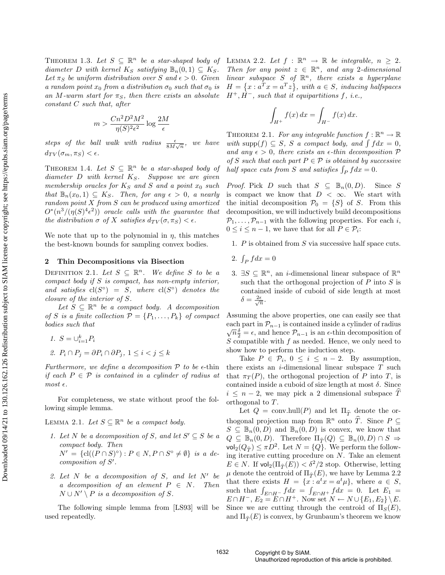diameter D with kernel  $K_S$  satisfying  $\mathbb{B}_n(0,1) \subseteq K_S$ . Let  $\pi_S$  be uniform distribution over S and  $\epsilon > 0$ . Given linear subspace S of  $\mathbb{R}^n$ , there exists a hyperplane a random point  $x_0$  from a distribution  $\sigma_0$  such that  $\sigma_0$  is  $H = \{x : a^T x = a^T z\}$ , with  $a \in S$ , inducing halfspaces an M-warm start for  $\pi_S$ , then there exists an absolute  $H^+$ ,  $\hat{H}^-$ , such that it equipartitions f, i.e., constant C such that, after

$$
m > \frac{Cn^2D^2M^2}{\eta(S)^2\epsilon^2}\log\frac{2M}{\epsilon}
$$

steps of the ball walk with radius  $\frac{\epsilon}{8M\sqrt{n}}$ , we have  $d_{TV}(\sigma_m, \pi_S) < \epsilon.$ 

THEOREM 1.4. Let  $S \subseteq \mathbb{R}^n$  be a star-shaped body of diameter  $D$  with kernel  $K_S$ . Suppose we are given membership oracles for  $K_S$  and S and a point  $x_0$  such that  $\mathbb{B}_n(x_0, 1) \subseteq K_S$ . Then, for any  $\epsilon > 0$ , a nearly random point X from S can be produced using amortized  $O^*(n^3/(\eta(S)^4\epsilon^2))$  oracle calls with the guarantee that the distribution  $\sigma$  of X satisfies  $d_{TV}(\sigma, \pi_s) < \epsilon$ .

We note that up to the polynomial in  $\eta$ , this matches the best-known bounds for sampling convex bodies.

#### 2 Thin Decompositions via Bisection

DEFINITION 2.1. Let  $S \subseteq \mathbb{R}^n$ . We define S to be a compact body if S is compact, has non-empty interior, and satisfies  $cl(S^{\circ}) = S$ , where  $cl(S^{\circ})$  denotes the closure of the interior of S.

Let  $S \subseteq \mathbb{R}^n$  be a compact body. A decomposition of S is a finite collection  $\mathcal{P} = \{P_1, \ldots, P_k\}$  of compact bodies such that

- 1.  $S = \bigcup_{i=1}^{k} P_i$
- 2.  $P_i \cap P_j = \partial P_i \cap \partial P_j$ ,  $1 \leq i < j \leq k$

Furthermore, we define a decomposition  $P$  to be  $\epsilon$ -thin if each  $P \in \mathcal{P}$  is contained in a cylinder of radius at  $most \epsilon$ .

For completeness, we state without proof the following simple lemma.

LEMMA 2.1. Let  $S \subseteq \mathbb{R}^n$  be a compact body.

- 1. Let N be a decomposition of S, and let  $S' \subseteq S$  be a compact body. Then  $N' = \{ \text{cl}((P \cap S)^\circ) : P \in N, P \cap S^\circ \neq \emptyset \}$  is a de $composition of S'.$
- 2. Let  $N$  be a decomposition of  $S$ , and let  $N'$  be a decomposition of an element  $P \in N$ . Then  $N \cup N' \setminus P$  is a decomposition of S.

The following simple lemma from [LS93] will be used repeatedly.

THEOREM 1.3. Let  $S \subseteq \mathbb{R}^n$  be a star-shaped body of LEMMA 2.2. Let  $f : \mathbb{R}^n \to \mathbb{R}$  be integrable,  $n \geq 2$ . Then for any point  $z \in \mathbb{R}^n$ , and any 2-dimensional

$$
\int_{H^+} f(x) dx = \int_{H^-} f(x) dx.
$$

THEOREM 2.1. For any integrable function  $f : \mathbb{R}^n \to \mathbb{R}$ with supp $(f) \subseteq S$ , S a compact body, and  $\int f dx = 0$ , and any  $\epsilon > 0$ , there exists an  $\epsilon$ -thin decomposition  $\mathcal P$ of S such that each part  $P \in \mathcal{P}$  is obtained by successive half space cuts from S and satisfies  $\int_P f dx = 0$ .

*Proof.* Pick D such that  $S \subseteq \mathbb{B}_n(0,D)$ . Since S is compact we know that  $D < \infty$ . We start with the initial decomposition  $\mathcal{P}_0 = \{S\}$  of S. From this decomposition, we will inductively build decompositions  $\mathcal{P}_1, \ldots, \mathcal{P}_{n-1}$  with the following properties. For each i,  $0 \leq i \leq n-1$ , we have that for all  $P \in \mathcal{P}_i$ :

- 1. P is obtained from S via successive half space cuts.
- 2.  $\int_{P} f dx = 0$
- 3. ∃ $S \subseteq \mathbb{R}^n$ , an *i*-dimensional linear subspace of  $\mathbb{R}^n$ such that the orthogonal projection of  $P$  into  $S$  is contained inside of cuboid of side length at most  $\delta = \frac{2\epsilon}{\sqrt{n}}$ .

Assuming the above properties, one can easily see that each part in  $\mathcal{P}_{n-1}$  is contained inside a cylinder of radius  $\overline{n}\frac{\delta}{2} = \epsilon$ , and hence  $\mathcal{P}_{n-1}$  is an  $\epsilon$ -thin decomposition of S compatible with  $f$  as needed. Hence, we only need to show how to perform the induction step.

Take  $P \in \mathcal{P}_i$ ,  $0 \leq i \leq n-2$ . By assumption, there exists an  $i$ -dimensional linear subspace  $T$  such that  $\pi_T(P)$ , the orthogonal projection of P into T, is contained inside a cuboid of size length at most  $\delta$ . Since  $i \leq n-2$ , we may pick a 2 dimensional subspace T orthogonal to T.

Let  $Q = \text{conv.hull}(P)$  and let  $\Pi_{\hat{T}}$  denote the orthogonal projection map from  $\mathbb{R}^n$  onto  $\widehat{T}$ . Since  $P \subseteq$  $S \subseteq \mathbb{B}_n(0, D)$  and  $\mathbb{B}_n(0, D)$  is convex, we know that  $Q \subseteq \mathbb{B}_n(0, D)$ . Therefore  $\Pi_{\widehat{\mathcal{P}}}(Q) \subseteq \mathbb{B}_n(0, D) \cap S \Rightarrow$  $\mathsf{vol}_2(Q_{\hat{T}}) \leq \pi D^2$ . Let  $N = \{Q\}$ . We perform the following iterative cutting procedure on N. Take an element  $E \in N$ . If vol<sub>2</sub>( $\Pi_{\hat{T}}(E)$ ) <  $\delta^2/2$  stop. Otherwise, letting  $\mu$  denote the centroid of  $\Pi_{\hat{T}}(E)$ , we have by Lemma 2.2 that there exists  $H = \{x : a^t x = a^t \mu\}$ , where  $a \in S$ , such that  $\int_{E \cap H^-} f dx = \int_{E \cap H^+} f dx = 0$ . Let  $E_1 =$  $E \cap H^-$ ,  $E_2 = E \cap H^+$ . Now set  $N \leftarrow N \cup \{E_1, E_2\} \setminus E$ . Since we are cutting through the centroid of  $\Pi_S(E)$ , and  $\Pi_{\hat{\tau}}(E)$  is convex, by Grunbaum's theorem we know University of this article is problem of the boundary of the state is problem of the state is problem of the state is problem of the state is problem of the state is problem of the state is problem of the state is proble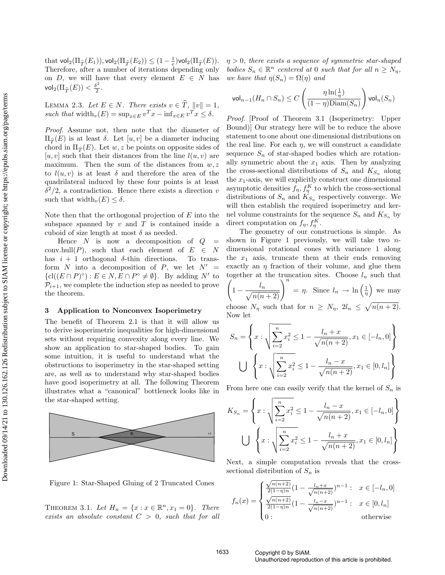that  $\text{vol}_2(\Pi_{\hat{T}}(E_1)), \text{vol}_2(\Pi_{\hat{T}}(E_2)) \leq (1 - \frac{1}{e})\text{vol}_2(\Pi_{\hat{T}}(E)).$ Therefore, after a number of iterations depending only on D, we will have that every element  $E \in N$  has  $\mathsf{vol}_2(\Pi_{\widehat{T}}(E)) < \frac{\delta^2}{2}$  $\frac{5}{2}$ .

LEMMA 2.3. Let  $E \in N$ . There exists  $v \in \hat{T}$ ,  $||v|| = 1$ , such that width $_v(E) = \sup_{x \in E} v^T x - \inf_{x \in E} v^T x \le \delta$ .

Proof. Assume not, then note that the diameter of  $\Pi_{\hat{\tau}}(E)$  is at least δ. Let  $[u, v]$  be a diameter inducing chord in  $\Pi_{\hat{\tau}}(E)$ . Let w, z be points on opposite sides of [u, v] such that their distances from the line  $l(u, v)$  are maximum. Then the sum of the distances from  $w, z$ to  $l(u, v)$  is at least  $\delta$  and therefore the area of the quadrilateral induced by these four points is at least  $\delta^2/2$ , a contradiction. Hence there exists a direction v such that width<sub>v</sub> $(E) \leq \delta$ .

Note then that the orthogonal projection of  $E$  into the subspace spanned by  $v$  and  $T$  is contained inside a cuboid of size length at most  $\delta$  as needed.

Hence N is now a decomposition of  $Q =$ conv.hull(P), such that each element of  $E \in N$ has  $i + 1$  orthogonal  $\delta$ -thin directions. To transform N into a decomposition of P, we let  $N' =$  $\{cl((E \cap P)^{\circ}) : E \in N, E \cap P^{\circ} \neq \emptyset\}.$  By adding N' to  $P_{i+1}$ , we complete the induction step as needed to prove the theorem.

### 3 Application to Nonconvex Isoperimetry

The benefit of Theorem 2.1 is that it will allow us to derive isoperimetric inequalities for high-dimensional sets without requiring convexity along every line. We show an application to star-shaped bodies. To gain some intuition, it is useful to understand what the obstructions to isoperimetry in the star-shaped setting are, as well as to understand why star-shaped bodies have good isoperimetry at all. The following Theorem illustrates what a "canonical" bottleneck looks like in the star-shaped setting.



Figure 1: Star-Shaped Gluing of 2 Truncated Cones

THEOREM 3.1. Let  $H_n = \{x : x \in \mathbb{R}^n, x_1 = 0\}$ . There exists an absolute constant  $C > 0$ , such that for all  $\eta > 0$ , there exists a sequence of symmetric star-shaped bodies  $S_n \in \mathbb{R}^n$  centered at 0 such that for all  $n \geq N_n$ , we have that  $\eta(S_n) = \Omega(\eta)$  and

$$
\mathrm{vol}_{n-1}(H_n \cap S_n) \leq C \left(\frac{\eta \ln(\frac{1}{\eta})}{(1-\eta)\mathrm{Diam}(S_n)}\right) \mathrm{vol}_n(S_n)
$$

Proof. [Proof of Theorem 3.1 (Isoperimetry: Upper Bound)] Our strategy here will be to reduce the above statement to one about one dimensional distributions on the real line. For each  $\eta$ , we will construct a candidate sequence  $S_n$  of star-shaped bodies which are rotationally symmetric about the  $x_1$  axis. Then by analyzing the cross-sectional distributions of  $S_n$  and  $K_{S_n}$  along the  $x_1$ -axis, we will explicitly construct one dimensional asymptotic densities  $f_{\eta}, f_{\eta}^{K}$  to which the cross-sectional distributions of  $S_n$  and  $K_{S_n}$  respectively converge. We will then establish the required isoperimetry and kernel volume constraints for the sequence  $S_n$  and  $K_{S_n}$  by direct computation on  $f_{\eta}, f_{\eta}^K$ . LEMON 3.26. Let  $E \in N$ . There is a subject to 130.126. Downloaded 19/14/23. So  $\left(\frac{\pi - \sqrt{1 + \alpha^2}}{2\alpha + \alpha^2}\right)$  ( $\log \sqrt{1 + \alpha^2}$ ) ( $\log \sqrt{1 + \alpha^2}$ ) ( $\log \sqrt{1 + \alpha^2}$ ) ( $\log \sqrt{1 + \alpha^2}$ ) ( $\log \sqrt{1 + \alpha^2}$ ) ( $\log \sqrt{1 + \alpha^2}$ ) ( $\log \sqrt{1$ 

The geometry of our constructions is simple. As shown in Figure 1 previously, we will take two  $n$ dimensional rotational cones with variance 1 along the  $x_1$  axis, truncate them at their ends removing exactly an  $\eta$  fraction of their volume, and glue them together at the truncation sites. Choose  $l_n$  such that

$$
\left(1 - \frac{l_n}{\sqrt{n(n+2)}}\right)^n = \eta.
$$
 Since  $l_n \to \ln\left(\frac{1}{\eta}\right)$  we may choose  $N_\eta$  such that for  $n \ge N_\eta$ ,  $2l_n \le \sqrt{n(n+2)}$ .

Now let

$$
S_n = \left\{ x : \sqrt{\sum_{i=2}^n x_i^2} \le 1 - \frac{l_n + x}{\sqrt{n(n+2)}}, x_1 \in [-l_n, 0] \right\}
$$

$$
\bigcup \left\{ x : \sqrt{\sum_{i=2}^n x_i^2} \le 1 - \frac{l_n - x}{\sqrt{n(n+2)}}, x_1 \in [0, l_n] \right\}
$$

From here one can easily verify that the kernel of  $S_n$  is

$$
K_{S_n} = \left\{ x : \sqrt{\sum_{i=2}^n x_i^2} \le 1 - \frac{l_n - x}{\sqrt{n(n+2)}}, x_1 \in [-l_n, 0] \right\}
$$

$$
\bigcup \left\{ x : \sqrt{\sum_{i=2}^n x_i^2} \le 1 - \frac{l_n + x}{\sqrt{n(n+2)}}, x_1 \in [0, l_n] \right\}
$$

Next, a simple computation reveals that the crosssectional distribution of  $S_n$  is

$$
f_n(x) = \begin{cases} \frac{\sqrt{n(n+2)}}{2(1-\eta)n} \left(1 - \frac{l_n + x}{\sqrt{n(n+2)}}\right)^{n-1} : & x \in [-l_n, 0] \\ \frac{\sqrt{n(n+2)}}{2(1-\eta)n} \left(1 - \frac{l_n - x}{\sqrt{n(n+2)}}\right)^{n-1} : & x \in [0, l_n] \\ 0: & \text{otherwise} \end{cases}
$$

# 1633 Copyright © by SIAM.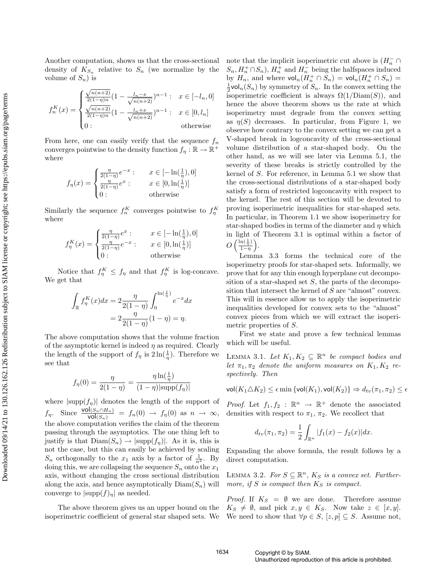Another computation, shows us that the cross-sectional density of  $K_{S_n}$  relative to  $S_n$  (we normalize by the volume of  $S_n$ ) is

$$
f_n^K(x) = \begin{cases} \frac{\sqrt{n(n+2)}}{2(1-\eta)n} \left(1 - \frac{l_n - x}{\sqrt{n(n+2)}}\right)^{n-1} : & x \in [-l_n, 0] \\ \frac{\sqrt{n(n+2)}}{2(1-\eta)n} \left(1 - \frac{l_n + x}{\sqrt{n(n+2)}}\right)^{n-1} : & x \in [0, l_n] \\ 0: & \text{otherwise} \end{cases}
$$

From here, one can easily verify that the sequence  $f_n$ converges pointwise to the density function  $f_{\eta}: \mathbb{R} \to \mathbb{R}^+$ where

$$
f_{\eta}(x) = \begin{cases} \frac{\eta}{2(1-\eta)} e^{-x} : & x \in [-\ln(\frac{1}{\eta}), 0] \\ \frac{\eta}{2(1-\eta)} e^{x} : & x \in [0, \ln(\frac{1}{\eta})] \\ 0 : & \text{otherwise} \end{cases}
$$

Similarly the sequence  $f_n^K$  converges pointwise to  $f_n^K$ where

$$
f_{\eta}^{K}(x) = \begin{cases} \frac{\eta}{2(1-\eta)}e^{x} : & x \in [-\ln(\frac{1}{\eta}), 0] \\ \frac{\eta}{2(1-\eta)}e^{-x} : & x \in [0, \ln(\frac{1}{\eta})] \\ 0 : & \text{otherwise} \end{cases}
$$

Notice that  $f_{\eta}^K \leq f_{\eta}$  and that  $f_{\eta}^K$  is log-concave. We get that

$$
\int_{\mathbb{R}} f_{\eta}^{K}(x) dx = 2 \frac{\eta}{2(1-\eta)} \int_{0}^{\ln(\frac{1}{\eta})} e^{-x} dx
$$

$$
= 2 \frac{\eta}{2(1-\eta)} (1-\eta) = \eta.
$$

The above computation shows that the volume fraction of the asymptotic kernel is indeed  $\eta$  as required. Clearly the length of the support of  $f_{\eta}$  is  $2 \ln(\frac{1}{\eta})$ . Therefore we see that

$$
f_{\eta}(0) = \frac{\eta}{2(1-\eta)} = \frac{\eta \ln(\frac{1}{\eta})}{(1-\eta)|\text{supp}(f_{\eta})|}
$$

where  $|\text{supp}(f_{\eta})|$  denotes the length of the support of  $f_{\eta}$ . Since  $\frac{\text{vol}(S_n \cap H_n)}{\text{vol}(S_n)} = f_n(0) \to f_{\eta}(0)$  as  $n \to \infty$ , the above computation verifies the claim of the theorem passing through the asymptotics. The one thing left to justify is that  $Diam(S_n) \to |supp(f_n)|$ . As it is, this is not the case, but this can easily be achieved by scaling  $S_n$  orthogonally to the  $x_1$  axis by a factor of  $\frac{1}{n^2}$ . By doing this, we are collapsing the sequence  $S_n$  onto the  $x_1$ axis, without changing the cross sectional distribution along the axis, and hence asymptotically  $Diam(S_n)$  will converge to  $|\text{supp}(f)_{\eta}|$  as needed.

The above theorem gives us an upper bound on the isoperimetric coefficient of general star shaped sets. We

note that the implicit isoperimetric cut above is  $(H_n^- \cap$  $S_n, H_n^+\cap S_n$ ,  $H_n^+$  and  $H_n^-$  being the halfspaces induced by  $H_n$ , and where  $\text{vol}_n(H_n^+ \cap S_n) = \text{vol}_n(H_n^+ \cap S_n) =$  $\frac{1}{2}$ vol<sub>n</sub>( $S_n$ ) by symmetry of  $S_n$ . In the convex setting the isoperimetric coefficient is always  $\Omega(1/\text{Diam}(S))$ , and hence the above theorem shows us the rate at which isoperimetry must degrade from the convex setting as  $\eta(S)$  decreases. In particular, from Figure 1, we observe how contrary to the convex setting we can get a V-shaped break in logconcavity of the cross-sectional volume distribution of a star-shaped body. On the other hand, as we will see later via Lemma 5.1, the severity of these breaks is strictly controlled by the kernel of S. For reference, in Lemma 5.1 we show that the cross-sectional distributions of a star-shaped body satisfy a form of restricted logconcavity with respect to the kernel. The rest of this section will be devoted to proving isoperimetric inequalities for star-shaped sets. In particular, in Theorem 1.1 we show isoperimetry for star-shaped bodies in terms of the diameter and  $\eta$  which in light of Theorem 3.1 is optimal within a factor of  $O\left(\frac{\ln(\frac{1}{\eta})}{1-n}\right)$  $rac{\mathrm{n}(\frac{1}{\eta})}{1-\eta}$ . Unauthorized reproduction of this article is prohibited. Downloaded 09/14/21 to 130.126.162.126 Redistribution subject to SIAM license or copyright; see https://epubs.siam.org/page/terms

Lemma 3.3 forms the technical core of the isoperimetry proofs for star-shaped sets. Informally, we prove that for any thin enough hyperplane cut decomposition of a star-shaped set  $S$ , the parts of the decomposition that intersect the kernel of S are "almost" convex. This will in essence allow us to apply the isoperimetric inequalities developed for convex sets to the "almost" convex pieces from which we will extract the isoperimetric properties of S.

First we state and prove a few technical lemmas which will be useful.

LEMMA 3.1. Let  $K_1, K_2 \subseteq \mathbb{R}^n$  be compact bodies and let  $\pi_1, \pi_2$  denote the uniform measures on  $K_1, K_2$  respectively. Then

$$
\text{vol}(K_1 \triangle K_2) \leq \epsilon \min \left\{ \text{vol}(K_1), \text{vol}(K_2) \right\} \Rightarrow d_{tv}(\pi_1, \pi_2) \leq \epsilon
$$

*Proof.* Let  $f_1, f_2 : \mathbb{R}^n \to \mathbb{R}^+$  denote the associated densities with respect to  $\pi_1$ ,  $\pi_2$ . We recollect that

$$
d_{tv}(\pi_1, \pi_2) = \frac{1}{2} \int_{\mathbb{R}^n} |f_1(x) - f_2(x)| dx.
$$

Expanding the above formula, the result follows by a direct computation.

LEMMA 3.2. For  $S \subseteq \mathbb{R}^n$ ,  $K_S$  is a convex set. Furthermore, if  $S$  is compact then  $K_S$  is compact.

*Proof.* If  $K_S = \emptyset$  we are done. Therefore assume  $K_S \neq \emptyset$ , and pick  $x, y \in K_S$ . Now take  $z \in [x, y]$ . We need to show that  $\forall p \in S, [z, p] \subseteq S$ . Assume not,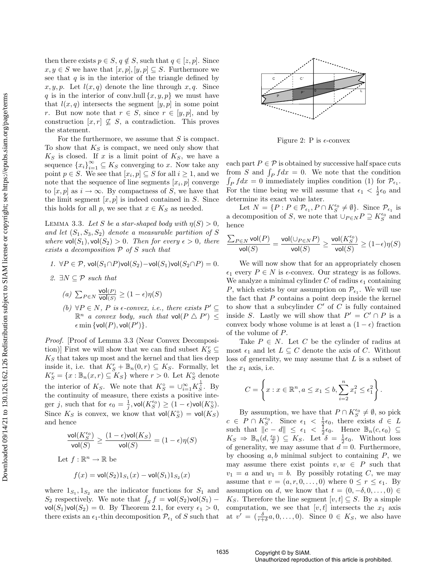then there exists  $p \in S$ ,  $q \notin S$ , such that  $q \in [z, p]$ . Since  $x, y \in S$  we have that  $[x, p], [y, p] \subseteq S$ . Furthermore we see that  $q$  is in the interior of the triangle defined by x, y, p. Let  $l(x, q)$  denote the line through x, q. Since q is in the interior of conv.hull  $\{x, y, p\}$  we must have that  $l(x, q)$  intersects the segment  $[y, p]$  in some point r. But now note that  $r \in S$ , since  $r \in [y, p]$ , and by construction  $[x, r] \nsubseteq S$ , a contradiction. This proves the statement.

For the furthermore, we assume that  $S$  is compact. To show that  $K_S$  is compact, we need only show that  $K_S$  is closed. If x is a limit point of  $K_S$ , we have a sequence  ${x_i}_{i=1}^{\infty} \subseteq K_S$  converging to x. Now take any point  $p \in S$ . We see that  $[x_i, p] \subseteq S$  for all  $i \geq 1$ , and we note that the sequence of line segments  $[x_i, p]$  converge to  $[x, p]$  as  $i \to \infty$ . By compactness of S, we have that the limit segment  $[x, p]$  is indeed contained in S. Since this holds for all p, we see that  $x \in K_S$  as needed.

LEMMA 3.3. Let S be a star-shaped body with  $\eta(S) > 0$ , and let  $(S_1, S_3, S_2)$  denote a measurable partition of S where  $vol(S_1)$ ,  $vol(S_2) > 0$ . Then for every  $\epsilon > 0$ , there exists a decomposition  $P$  of  $S$  such that

1. 
$$
\forall P \in \mathcal{P}
$$
,  $\text{vol}(S_1 \cap P) \text{vol}(S_2) - \text{vol}(S_1) \text{vol}(S_2 \cap P) = 0$ .

2.  $\exists N \subseteq \mathcal{P}$  such that

(a) 
$$
\sum_{P \in N} \frac{\text{vol}(P)}{\text{vol}(S)} \ge (1 - \epsilon) \eta(S)
$$

(b)  $\forall P \in N$ , P is  $\epsilon$ -convex, i.e., there exists  $P' \subseteq$  $\mathbb{R}^n$  a convex body, such that  $vol(P \triangle P') \leq$  $\epsilon$  min {vol(P), vol(P')}.

Proof. [Proof of Lemma 3.3 (Near Convex Decomposition)] First we will show that we can find subset  $K_S^r \subseteq$  $K_S$  that takes up most and the kernel and that lies deep inside it, i.e. that  $K_S^r + \mathbb{B}_n(0,r) \subseteq K_S$ . Formally, let  $K_S^r = \{x : \mathbb{B}_n(x,r) \subseteq K_S\}$  where  $r > 0$ . Let  $K_S^{\circ}$  denote the interior of  $K_S$ . We note that  $K_S^{\circ} = \bigcup_{i=1}^{\infty} K_S^{\frac{1}{i}}$ . By the continuity of measure, there exists a positive integer j, such that for  $\epsilon_0 = \frac{1}{j}$ , vol $(K_S^{\epsilon_0}) \geq (1 - \epsilon)$ vol $(K_S^{\circ})$ . Since  $K_S$  is convex, we know that  $vol(K_S^{\circ}) = vol(K_S)$ and hence

$$
\frac{\text{vol}(K_S^{\epsilon_0})}{\text{vol}(S)} \ge \frac{(1-\epsilon)\text{vol}(K_S)}{\text{vol}(S)} = (1-\epsilon)\eta(S)
$$
  
Let  $f: \mathbb{R}^n \to \mathbb{R}$  be

$$
f(x) = \text{vol}(S_2)1_{S_1}(x) - \text{vol}(S_1)1_{S_2}(x)
$$

where  $1_{S_1}, 1_{S_2}$  are the indicator functions for  $S_1$  and S<sub>2</sub> respectively. We note that  $\int_S f = \text{vol}(S_2)\text{vol}(S_1)$  – vol $(S_1)$ vol $(S_2) = 0$ . By Theorem 2.1, for every  $\epsilon_1 > 0$ , there exists an  $\epsilon_1$ -thin decomposition  $\mathcal{P}_{\epsilon_1}$  of S such that



Figure 2: P is  $\epsilon$ -convex

each part  $P \in \mathcal{P}$  is obtained by successive half space cuts from S and  $\int_P f dx = 0$ . We note that the condition  $\int_P f dx = 0$  immediately implies condition (1) for  $\mathcal{P}_{\epsilon_1}$ . For the time being we will assume that  $\epsilon_1 < \frac{1}{2}\epsilon_0$  and determine its exact value later.

Let  $N = \{P : P \in \mathcal{P}_{\epsilon_1}, P \cap K_S^{\epsilon_0} \neq \emptyset\}$ . Since  $\mathcal{P}_{\epsilon_1}$  is a decomposition of S, we note that  $\bigcup_{P \in N} P \supseteq K_S^{\epsilon_0}$  and hence

$$
\frac{\sum_{P \in N} \mathsf{vol}(P)}{\mathsf{vol}(S)} = \frac{\mathsf{vol}(\cup_{P \in N} P)}{\mathsf{vol}(S)} \geq \frac{\mathsf{vol}(K_S^{\epsilon_0})}{\mathsf{vol}(S)} \geq (1-\epsilon)\eta(S)
$$

We will now show that for an appropriately chosen  $\epsilon_1$  every  $P \in N$  is  $\epsilon$ -convex. Our strategy is as follows. We analyze a minimal cylinder C of radius  $\epsilon_1$  containing P, which exists by our assumption on  $\mathcal{P}_{\epsilon_1}$ . We will use the fact that  $P$  contains a point deep inside the kernel to show that a subcylinder  $C'$  of  $C$  is fully contained inside S. Lastly we will show that  $P' = C' \cap P$  is a convex body whose volume is at least a  $(1 - \epsilon)$  fraction of the volume of P.

Take  $P \in N$ . Let C be the cylinder of radius at most  $\epsilon_1$  and let  $L \subseteq C$  denote the axis of C. Without loss of generality, we may assume that  $L$  is a subset of the  $x_1$  axis, i.e.

$$
C = \left\{ x : x \in \mathbb{R}^n, a \le x_1 \le b, \sum_{i=2}^n x_i^2 \le \epsilon_1^2 \right\}.
$$

By assumption, we have that  $P \cap K_S^{\epsilon_0} \neq \emptyset$ , so pick  $c \in P \cap K_S^{\epsilon_0}$ . Since  $\epsilon_1 < \frac{1}{2} \epsilon_0$ , there exists  $d \in L$ such that  $\|\tilde{c} - d\| \leq \epsilon_1 < \frac{1}{2}\epsilon_0$ . Hence  $\mathbb{B}_n(c, \epsilon_0) \subseteq$  $K_S \Rightarrow \mathbb{B}_n(d, \frac{\epsilon_0}{2}) \subseteq K_S$ . Let  $\delta = \frac{1}{2} \epsilon_0$ . Without loss of generality, we may assume that  $d = 0$ . Furthermore, by choosing  $a, b$  minimal subject to containing  $P$ , we may assume there exist points  $v, w \in P$  such that  $v_1 = a$  and  $w_1 = b$ . By possibly rotating C, we may assume that  $v = (a, r, 0, \ldots, 0)$  where  $0 \le r \le \epsilon_1$ . By assumption on d, we know that  $t = (0, -\delta, 0, \ldots, 0) \in$ K<sub>S</sub>. Therefore the line segment  $[v, t] \subseteq S$ . By a simple computation, we see that  $[v, t]$  intersects the  $x_1$  axis at  $v' = (\frac{\delta}{r+\delta}a, 0, \ldots, 0)$ . Since  $0 \in K_S$ , we also have Uniter reproduction of the subsection of the control of the control of the subject of the subject of the subject of the subject of the subject of the subject of the subject of the subject of the subject of the subject of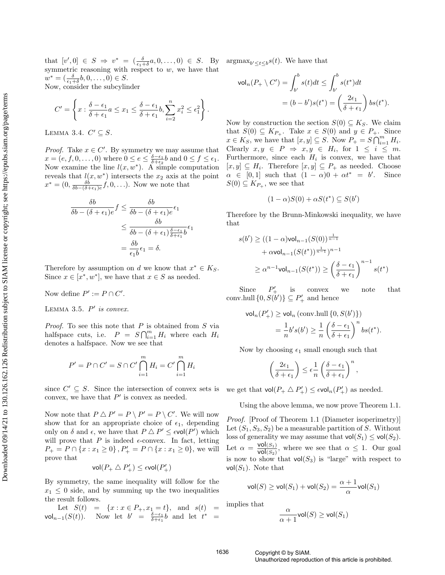that  $[v',0] \in S \Rightarrow v^* = (\frac{\delta}{\epsilon_1+\delta}a,0,\ldots,0) \in S$ . By symmetric reasoning with respect to  $w$ , we have that  $w^* = (\frac{\delta}{\epsilon_1 + \delta}b, 0, \dots, 0) \in S.$ Now, consider the subcylinder

 $C' =$  $\sqrt{ }$  $x:\frac{\delta-\epsilon_1}{\delta}$  $\frac{\delta - \epsilon_1}{\delta + \epsilon_1} a \leq x_1 \leq \frac{\delta - \epsilon_1}{\delta + \epsilon_1}$  $\frac{\delta - \epsilon_1}{\delta + \epsilon_1} b, \sum_{i=2}^n$  $i=2$  $x_i^2 \leq \epsilon_1^2$  $\mathcal{L}$ .

LEMMA 3.4.  $C' \subseteq S$ .

*Proof.* Take  $x \in C'$ . By symmetry we may assume that  $x = (e, f, 0, \ldots, 0)$  where  $0 \le e \le \frac{\delta - \epsilon_1}{\delta + \epsilon_2} b$  and  $0 \le f \le \epsilon_1$ . Now examine the line  $l(x, w^*)$ . A simple computation reveals that  $l(x, w^*)$  intersects the  $x_2$  axis at the point  $x^* = (0, \frac{\delta b}{\delta b - (\delta + \epsilon_1)e} f, 0, \ldots).$  Now we note that

$$
\frac{\delta b}{\delta b - (\delta + \epsilon_1)e} f \le \frac{\delta b}{\delta b - (\delta + \epsilon_1)e} \epsilon_1
$$

$$
\le \frac{\delta b}{\delta b - (\delta + \epsilon_1)\frac{\delta - \epsilon_1}{\delta + \epsilon_1}b} \epsilon_1
$$

$$
= \frac{\delta b}{\epsilon_1 b} \epsilon_1 = \delta.
$$

Therefore by assumption on d we know that  $x^* \in K_S$ . Since  $x \in [x^*, w^*]$ , we have that  $x \in S$  as needed.

Now define  $P' := P \cap C'$ .

LEMMA 3.5.  $P'$  is convex.

*Proof.* To see this note that  $P$  is obtained from  $S$  via halfspace cuts, i.e.  $P = S \bigcap_{i=1}^{m} H_i$  where each  $H_i$ denotes a halfspace. Now we see that

$$
P' = P \cap C' = S \cap C' \bigcap_{i=1}^{m} H_i = C' \bigcap_{i=1}^{m} H_i
$$

since  $C' \subseteq S$ . Since the intersection of convex sets is convex, we have that  $P'$  is convex as needed.

Now note that  $P \triangle P' = P \setminus P' = P \setminus C'$ . We will now show that for an appropriate choice of  $\epsilon_1$ , depending only on  $\delta$  and  $\epsilon$ , we have that  $P \Delta P' \leq \epsilon \text{vol}(P')$  which will prove that P is indeed  $\epsilon$ -convex. In fact, letting  $P_+ = P \cap \{x : x_1 \ge 0\}$ ,  $P'_+ = P \cap \{x : x_1 \ge 0\}$ , we will prove that

$$
\mathsf{vol}(P_+ \bigtriangleup P'_+) \le \epsilon \mathsf{vol}(P'_+)
$$

By symmetry, the same inequality will follow for the  $x_1 \leq 0$  side, and by summing up the two inequalities the result follows.

Let  $S(t) = \{x : x \in P_+, x_1 = t\}$ , and  $s(t) =$ vol<sub>n-1</sub> $(S(t))$ . Now let  $b' = \frac{\delta - \epsilon_1}{\delta + \epsilon_1}b$  and let  $t^* =$   $\operatorname{argmax}_{b' \leq t \leq b} s(t)$ . We have that

$$
\mathsf{vol}_n(P_+ \setminus C') = \int_{b'}^b s(t)dt \le \int_{b'}^b s(t^*)dt
$$
  
=  $(b - b')s(t^*) = \left(\frac{2\epsilon_1}{\delta + \epsilon_1}\right)bs(t^*).$ 

Now by construction the section  $S(0) \subseteq K_S$ . We claim that  $S(0) \subseteq K_{P_+}$ . Take  $x \in S(0)$  and  $y \in P_+$ . Since  $x \in K_S$ , we have that  $[x, y] \subseteq S$ . Now  $P_+ = S \bigcap_{i=1}^m H_i$ . Clearly  $x, y \in P \Rightarrow x, y \in H_i$ , for  $1 \leq i \leq m$ . Furthermore, since each  $H_i$  is convex, we have that  $[x, y] \subseteq H_i$ . Therefore  $[x, y] \subseteq P_+$  as needed. Choose  $\alpha \in [0,1]$  such that  $(1 - \alpha)0 + \alpha t^* = b'$ . Since  $S(0) \subseteq K_{P_+}$ , we see that Unauthorized reproduction of this article is prohibited. Downloaded 09/14/21 to 130.126.162.126 Redistribution subject to SIAM license or copyright; see https://epubs.siam.org/page/terms

$$
(1 - \alpha)S(0) + \alpha S(t^*) \subseteq S(b')
$$

Therefore by the Brunn-Minkowski inequality, we have that

$$
s(b') \ge ((1 - \alpha) \text{vol}_{n-1}(S(0))^{\frac{1}{n-1}}
$$
  
+  $\alpha \text{vol}_{n-1}(S(t^*))^{\frac{1}{n-1}})^{n-1}$   

$$
\ge \alpha^{n-1} \text{vol}_{n-1}(S(t^*)) \ge \left(\frac{\delta - \epsilon_1}{\delta + \epsilon_1}\right)^{n-1} s(t^*)
$$

Since  $P'_{+}$ is convex we note that conv.hull  $\{0, S(b')\} \subseteq P'_{+}$  and hence

$$
\mathsf{vol}_n(P'_+) \ge \mathsf{vol}_n \left(\text{conv.hull} \left\{0, S(b')\right\}\right)
$$

$$
= \frac{1}{n} b's(b') \ge \frac{1}{n} \left(\frac{\delta - \epsilon_1}{\delta + \epsilon_1}\right)^n bs(t^*).
$$

Now by choosing  $\epsilon_1$  small enough such that

$$
\left(\frac{2\epsilon_1}{\delta+\epsilon_1}\right)\leq \epsilon\frac{1}{n}\left(\frac{\delta-\epsilon_1}{\delta+\epsilon_1}\right)^n,
$$

we get that  $\text{vol}(P_+ \bigtriangleup P'_+) \leq \epsilon \text{vol}_n(P'_+)$  as needed.

Using the above lemma, we now prove Theorem 1.1.

Proof. [Proof of Theorem 1.1 (Diameter isoperimetry)] Let  $(S_1, S_3, S_2)$  be a measurable partition of S. Without loss of generality we may assume that  $\text{vol}(S_1) \leq \text{vol}(S_2)$ . Let  $\alpha = \frac{\text{vol}(S_1)}{\text{vol}(S_2)}$  $\frac{{\rm vol}(S_1)}{{\rm vol}(S_2)}$ , where we see that  $\alpha \leq 1$ . Our goal is now to show that  $vol(S_3)$  is "large" with respect to vol $(S_1)$ . Note that

$$
\mathsf{vol}(S) \geq \mathsf{vol}(S_1) + \mathsf{vol}(S_2) = \frac{\alpha+1}{\alpha} \mathsf{vol}(S_1)
$$

implies that

$$
\frac{\alpha}{\alpha+1}\text{vol}(S)\geq \text{vol}(S_1)
$$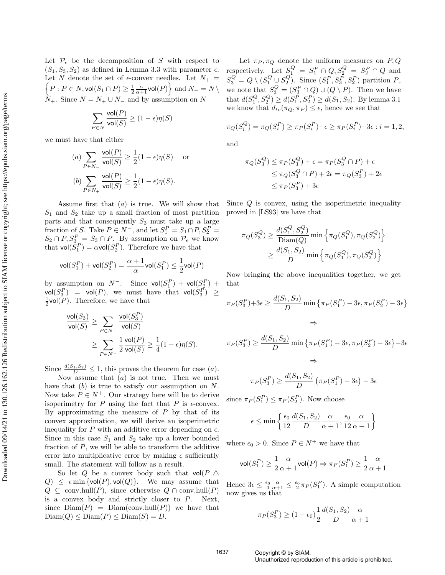Let  $\mathcal{P}_{\epsilon}$  be the decomposition of S with respect to  $(S_1, S_3, S_2)$  as defined in Lemma 3.3 with parameter  $\epsilon$ .  $\left\{P : P \in N, \mathsf{vol}(S_1 \cap P) \geq \frac{1}{2} \frac{\alpha}{\alpha+1} \mathsf{vol}(P)\right\}$  and  $N_-=N \setminus$ Let N denote the set of  $\epsilon$ -convex needles. Let  $N_+$  =  $N_+$ . Since  $N = N_+ \cup N_-$  and by assumption on N

$$
\sum_{P\in N}\frac{\textrm{vol}(P)}{\textrm{vol}(S)}\geq (1-\epsilon)\eta(S)
$$

we must have that either

(a) 
$$
\sum_{P \in N_-} \frac{\text{vol}(P)}{\text{vol}(S)} \ge \frac{1}{2} (1 - \epsilon) \eta(S) \quad \text{or}
$$
  
(b) 
$$
\sum_{P \in N_+} \frac{\text{vol}(P)}{\text{vol}(S)} \ge \frac{1}{2} (1 - \epsilon) \eta(S).
$$

Assume first that  $(a)$  is true. We will show that  $S_1$  and  $S_2$  take up a small fraction of most partition parts and that consequently  $S_3$  must take up a large fraction of S. Take  $P \in N^-$ , and let  $S_1^P = S_1 \cap P, S_2^P =$  $S_2 \cap P, S_3^P = S_3 \cap P$ . By assumption on  $\mathcal{P}_{\epsilon}$  we know that  $\text{vol}(S_1^P) = \alpha \text{vol}(S_2^P)$ . Therefore we have that

$$
\text{vol}(S_1^P) + \text{vol}(S_2^P) = \frac{\alpha+1}{\alpha}\text{vol}(S_1^P) \le \frac{1}{2}\text{vol}(P)
$$

by assumption on  $N^-$ . Since  $vol(S_1^P) + vol(S_2^P) +$  $\mathsf{vol}(S_3^P)$  =  $\mathsf{vol}(P)$ , we must have that  $\mathsf{vol}(S_3^P)$   $\geq$  $\frac{1}{2}$ vol $(P)$ . Therefore, we have that

$$
\frac{\mathrm{vol}(S_3)}{\mathrm{vol}(S)} \ge \sum_{P \in N^-} \frac{\mathrm{vol}(S_3^P)}{\mathrm{vol}(S)}
$$
  

$$
\ge \sum_{P \in N^-} \frac{1}{2} \frac{\mathrm{vol}(P)}{\mathrm{vol}(S)} \ge \frac{1}{4} (1 - \epsilon) \eta(S).
$$

Since  $\frac{d(S_1, S_2)}{D} \leq 1$ , this proves the theorem for case  $(a)$ .

Now assume that  $(a)$  is not true. Then we must have that  $(b)$  is true to satisfy our assumption on N. Now take  $P \in N^+$ . Our strategy here will be to derive isoperimetry for  $P$  using the fact that  $P$  is  $\epsilon$ -convex. By approximating the measure of  $P$  by that of its convex approximation, we will derive an isoperimetric inequality for P with an additive error depending on  $\epsilon$ . Since in this case  $S_1$  and  $S_2$  take up a lower bounded fraction of  $P$ , we will be able to transform the additive error into multiplicative error by making  $\epsilon$  sufficiently small. The statement will follow as a result. A. Since  $S = \lambda_0 + 3\lambda_1$  and by an employing on  $\lambda_1$  to  $\lambda_2$  are  $\sqrt{2}$  is  $\sqrt{2}$  and  $\sqrt{2}$  is  $\sqrt{2}$  is  $\sqrt{2}$  is  $\sqrt{2}$  is  $\sqrt{2}$  is  $\sqrt{2}$  is  $\sqrt{2}$  is  $\sqrt{2}$  is  $\sqrt{2}$  is  $\sqrt{2}$  is  $\sqrt{2}$  is  $\sqrt{2}$ 

So let Q be a convex body such that  $vol(P \triangle$  $Q) \leq \epsilon \min \{ \text{vol}(P), \text{vol}(Q) \}.$  We may assume that  $Q \subseteq \text{conv.hull}(P)$ , since otherwise  $Q \cap \text{conv.hull}(P)$ is a convex body and strictly closer to P. Next, since  $Diam(P) = Diam(conv.hull(P))$  we have that  $Diam(Q) \leq Diam(P) \leq Diam(S) = D.$ 

Let  $\pi_P, \pi_Q$  denote the uniform measures on P, Q respectively. Let  $S_1^Q = S_1^P \cap Q$ ,  $S_2^Q = S_2^P \cap Q$  and  $S_3^Q = Q \setminus (S_1^Q \cup S_2^Q)$ . Since  $(S_1^P, S_3^P, S_2^P)$  partition P, we note that  $S_3^Q = (S_3^P \cap Q) \cup (Q \setminus P)$ . Then we have that  $d(S_1^Q, S_2^Q) \ge d(S_1^P, S_2^P) \ge d(S_1, S_2)$ . By lemma 3.1 we know that  $d_{tv}(\pi_Q, \pi_P) \leq \epsilon$ , hence we see that

$$
\pi_Q(S_i^Q) = \pi_Q(S_i^P) \ge \pi_P(S_i^P) - \epsilon \ge \pi_P(S_i^P) - 3\epsilon : i = 1, 2,
$$

and

$$
\pi_Q(S_3^Q) \le \pi_P(S_3^Q) + \epsilon = \pi_P(S_3^Q \cap P) + \epsilon
$$
  
\n
$$
\le \pi_Q(S_3^Q \cap P) + 2\epsilon = \pi_Q(S_3^P) + 2\epsilon
$$
  
\n
$$
\le \pi_P(S_3^P) + 3\epsilon
$$

Since Q is convex, using the isoperimetric inequality proved in [LS93] we have that

$$
\pi_Q(S_3^Q) \ge \frac{d(S_1^Q, S_2^Q)}{\text{Diam}(Q)} \min \left\{ \pi_Q(S_1^Q), \pi_Q(S_2^Q) \right\}
$$
  

$$
\ge \frac{d(S_1, S_2)}{D} \min \left\{ \pi_Q(S_1^Q), \pi_Q(S_2^Q) \right\}
$$

Now bringing the above inequalities together, we get that

$$
\pi_P(S_3^P) + 3\epsilon \ge \frac{d(S_1, S_2)}{D} \min \{ \pi_P(S_1^P) - 3\epsilon, \pi_P(S_2^P) - 3\epsilon \}
$$
  
\n
$$
\Rightarrow
$$
  
\n
$$
\pi_P(S_3^P) \ge \frac{d(S_1, S_2)}{D} \min \{ \pi_P(S_1^P) - 3\epsilon, \pi_P(S_2^P) - 3\epsilon \} - 3\epsilon
$$
  
\n
$$
\Rightarrow
$$
  
\n
$$
\frac{d(S_1, S_2)}{D} \min \{ \pi_P(S_1^P) - 3\epsilon, \pi_P(S_2^P) - 3\epsilon \} - 3\epsilon \}
$$

$$
\pi_P(S_3^P) \ge \frac{d(S_1, S_2)}{D} \left( \pi_P(S_1^P) - 3\epsilon \right) - 3\epsilon
$$

since  $\pi_P(S_1^P) \leq \pi_P(S_2^P)$ . Now choose

$$
\epsilon \le \min\left\{\frac{\epsilon_0}{12}\frac{d(S_1, S_2)}{D} \frac{\alpha}{\alpha+1}, \frac{\epsilon_0}{12} \frac{\alpha}{\alpha+1}\right\}
$$

where  $\epsilon_0 > 0$ . Since  $P \in N^+$  we have that

$$
\mathrm{vol}(S_1^P)\geq \frac{1}{2}\frac{\alpha}{\alpha+1}\mathrm{vol}(P)\Rightarrow \pi_P(S_1^P)\geq \frac{1}{2}\frac{\alpha}{\alpha+1}
$$

Hence  $3\epsilon \leq \frac{\epsilon_0}{4} \frac{\alpha}{\alpha+1} \leq \frac{\epsilon_0}{2} \pi_P(S_1^P)$ . A simple computation now gives us that

$$
\pi_P(S_3^P) \ge (1 - \epsilon_0) \frac{1}{2} \frac{d(S_1, S_2)}{D} \frac{\alpha}{\alpha + 1}
$$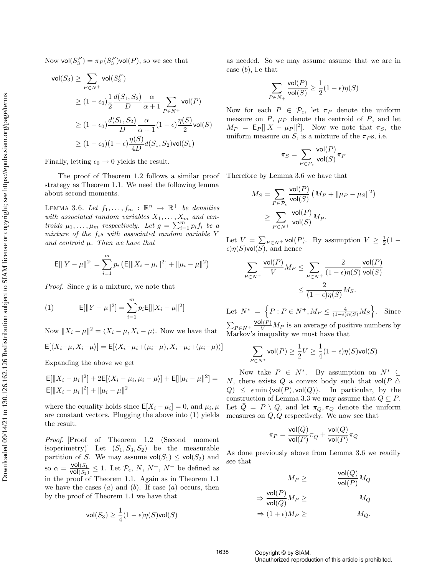Now  $\mathsf{vol}(S_3^P) = \pi_P(S_3^P) \mathsf{vol}(P)$ , so we see that

$$
\begin{aligned} \text{vol}(S_3) &\geq \sum_{P \in N^+} \text{vol}(S_3^P) \\ &\geq (1-\epsilon_0) \frac{1}{2} \frac{d(S_1, S_2)}{D} \frac{\alpha}{\alpha+1} \sum_{P \in N^+} \text{vol}(P) \\ &\geq (1-\epsilon_0) \frac{d(S_1, S_2)}{D} \frac{\alpha}{\alpha+1} (1-\epsilon) \frac{\eta(S)}{2} \text{vol}(S) \\ &\geq (1-\epsilon_0) (1-\epsilon) \frac{\eta(S)}{4D} d(S_1, S_2) \text{vol}(S_1) \end{aligned}
$$

Finally, letting  $\epsilon_0 \rightarrow 0$  yields the result.

The proof of Theorem 1.2 follows a similar proof strategy as Theorem 1.1. We need the following lemma about second moments.

LEMMA 3.6. Let  $f_1, \ldots, f_m : \mathbb{R}^n \to \mathbb{R}^+$  be densities with associated random variables  $X_1, \ldots, X_m$  and centroids  $\mu_1, \ldots, \mu_m$  respectively. Let  $g = \sum_{i=1}^m p_i f_i$  be a mixture of the  $f_i$ s with associated random variable Y and centroid  $\mu$ . Then we have that

$$
\mathsf{E}[\|Y - \mu\|^2] = \sum_{i=1}^m p_i \left( \mathsf{E}[\|X_i - \mu_i\|^2] + \|\mu_i - \mu\|^2 \right)
$$

*Proof.* Since  $g$  is a mixture, we note that

(1) 
$$
\mathsf{E}[\|Y - \mu\|^2] = \sum_{i=1}^m p_i \mathsf{E}[\|X_i - \mu\|^2]
$$

Now  $||X_i - \mu||^2 = \langle X_i - \mu, X_i - \mu \rangle$ . Now we have that

$$
\mathsf{E}[\langle X_i - \mu, X_i - \mu \rangle] = \mathsf{E}[\langle X_i - \mu_i + (\mu_i - \mu), X_i - \mu_i + (\mu_i - \mu) \rangle]
$$

Expanding the above we get

$$
\mathsf{E}[\|X_i - \mu_i\|^2] + 2\mathsf{E}[\langle X_i - \mu_i, \mu_i - \mu \rangle] + \mathsf{E}[\|\mu_i - \mu\|^2] = \mathsf{E}[\|X_i - \mu_i\|^2] + \|\mu_i - \mu\|^2
$$

where the equality holds since  $\mathsf{E}[X_i - \mu_i] = 0$ , and  $\mu_i, \mu_i$ are constant vectors. Plugging the above into (1) yields the result.

Proof. [Proof of Theorem 1.2 (Second moment isoperimetry)] Let  $(S_1, S_3, S_2)$  be the measurable partition of S. We may assume  $\text{vol}(S_1) \leq \text{vol}(S_2)$  and so  $\alpha = \frac{\text{vol}(S_1)}{\text{vol}(S_2)}$  $\frac{{\rm Vol}(S_1)}{{\rm Vol}(S_2)} \leq 1$ . Let  $\mathcal{P}_{\epsilon}$ , N,  $N^+$ , N<sup>-</sup> be defined as in the proof of Theorem 1.1. Again as in Theorem 1.1 we have the cases  $(a)$  and  $(b)$ . If case  $(a)$  occurs, then by the proof of Theorem 1.1 we have that 2.  $(1-x_0)\frac{1}{2} \sum_{i=1}^{\infty} \frac{\cos(ix_0)}{2} - \frac{1}{(1-x_0)^2} \sum_{i=1}^{\infty} \frac{\cos(ix_0)}{2} - \frac{1}{(1-x_0)^2} \sum_{i=1}^{\infty} \frac{\cos(ix_0)}{2} - \frac{1}{(1-x_0)^2} \sum_{i=1}^{\infty} \frac{\cos(ix_0)}{2} - \frac{1}{(1-x_0)^2} \sum_{i=1}^{\infty} \frac{\cos(ix_0)}{2} - \frac{1}{(1-x_0)^2} \sum_{i=1}^{\infty} \$ 

$$
\text{vol}(S_3) \geq \frac{1}{4}(1-\epsilon)\eta(S)\text{vol}(S)
$$

as needed. So we may assume assume that we are in case  $(b)$ , i.e that

$$
\sum_{P \in N_+} \frac{\text{vol}(P)}{\text{vol}(S)} \ge \frac{1}{2} (1 - \epsilon) \eta(S)
$$

Now for each  $P \in \mathcal{P}_{\epsilon}$ , let  $\pi_P$  denote the uniform measure on  $P$ ,  $\mu$  denote the centroid of  $P$ , and let  $M_P = \mathsf{E}_P[\|X - \mu_P\|^2].$  Now we note that  $\pi_S$ , the uniform measure on S, is a mixture of the  $\pi_{PS}$ , i.e.

$$
\pi_S = \sum_{P \in \mathcal{P}_{\epsilon}} \frac{\text{vol}(P)}{\text{vol}(S)} \pi_P
$$

Therefore by Lemma 3.6 we have that

$$
M_S = \sum_{P \in \mathcal{P}_\epsilon} \frac{\text{vol}(P)}{\text{vol}(S)} \left( M_P + \|\mu_P - \mu_S\|^2 \right)
$$
  
 
$$
\geq \sum_{P \in N^+} \frac{\text{vol}(P)}{\text{vol}(S)} M_P.
$$

Let  $V = \sum_{P \in N^+}$  vol(P). By assumption  $V \geq \frac{1}{2}(1 \epsilon$ ) $\eta(S)$ vol $(S)$ , and hence

$$
\sum_{P \in N^{+}} \frac{\text{vol}(P)}{V} M_{P} \le \sum_{P \in N^{+}} \frac{2}{(1 - \epsilon)\eta(S)} \frac{\text{vol}(P)}{\text{vol}(S)} \le \frac{2}{(1 - \epsilon)\eta(S)} M_{S}.
$$

Let  $N^* = \left\{ P : P \in N^+, M_P \leq \frac{4}{(1-\epsilon)\eta(S)} M_S \right\}$ . Since  $\sum_{P \in N^+} \frac{\text{vol}(P)}{V} M_P$  is an average of positive numbers by Markov's inequality we must have that

$$
\sum_{P \in N^*} \text{vol}(P) \ge \frac{1}{2}V \ge \frac{1}{4}(1-\epsilon)\eta(S) \text{vol}(S)
$$

Now take  $P \in N^*$ . By assumption on  $N^* \subseteq$ N, there exists Q a convex body such that  $vol(P \triangle$  $Q) \leq \epsilon \min \{ \text{vol}(P), \text{vol}(Q) \}.$  In particular, by the construction of Lemma 3.3 we may assume that  $Q \subseteq P$ . Let  $\overline{Q} = P \setminus Q$ , and let  $\pi_{\overline{Q}}, \pi_Q$  denote the uniform measures on  $\overline{Q}, \overline{Q}$  respectively. We now see that

$$
\pi_P = \frac{\mathrm{vol}(\bar{Q})}{\mathrm{vol}(P)} \pi_{\bar{Q}} + \frac{\mathrm{vol}(Q)}{\mathrm{vol}(P)} \pi_Q
$$

As done previously above from Lemma 3.6 we readily see that

$$
M_P \ge \frac{\text{vol}(Q)}{\text{vol}(P)} M_Q
$$
  

$$
\Rightarrow \frac{\text{vol}(P)}{\text{vol}(Q)} M_P \ge M_Q
$$

$$
\Rightarrow (1+\epsilon)M_P \geq M_Q.
$$

 $\sqrt{2}$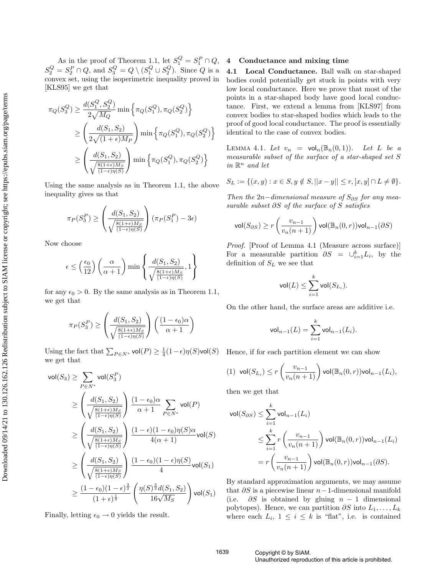As in the proof of Theorem 1.1, let  $S_1^Q = S_1^P \cap Q$ ,  $S_2^Q = S_2^P \cap Q$ , and  $S_3^Q = Q \setminus (S_1^Q \cup S_2^Q)$ . Since Q is a convex set, using the isoperimetric inequality proved in [KLS95] we get that

$$
\pi_Q(S_3^Q) \ge \frac{d(S_1^Q, S_2^Q)}{2\sqrt{M_Q}} \min \left\{ \pi_Q(S_1^Q), \pi_Q(S_2^Q) \right\}
$$
  

$$
\ge \left( \frac{d(S_1, S_2)}{2\sqrt{(1 + \epsilon)M_P}} \right) \min \left\{ \pi_Q(S_1^Q), \pi_Q(S_2^Q) \right\}
$$
  

$$
\ge \left( \frac{d(S_1, S_2)}{\sqrt{\frac{8(1 + \epsilon)M_S}{(1 - \epsilon)\eta(S)}}} \right) \min \left\{ \pi_Q(S_1^Q), \pi_Q(S_2^Q) \right\}
$$

Using the same analysis as in Theorem 1.1, the above inequality gives us that

$$
\pi_P(S_3^P) \ge \left(\frac{d(S_1, S_2)}{\sqrt{\frac{8(1+\epsilon)M_S}{(1-\epsilon)\eta(S)}}}\right) (\pi_P(S_1^P) - 3\epsilon)
$$

Now choose

$$
\epsilon \le \left(\frac{\epsilon_0}{12}\right) \left(\frac{\alpha}{\alpha+1}\right) \min\left\{\frac{d(S_1, S_2)}{\sqrt{\frac{8(1+\epsilon)M_S}{(1-\epsilon)\eta(S)}}}, 1\right\}
$$

for any  $\epsilon_0 > 0$ . By the same analysis as in Theorem 1.1, we get that

$$
\pi_P(S_3^P) \ge \left(\frac{d(S_1, S_2)}{\sqrt{\frac{8(1+\epsilon)M_S}{(1-\epsilon)\eta(S)}}}\right) \left(\frac{(1-\epsilon_0)\alpha}{\alpha+1}\right)
$$

Using the fact that  $\sum_{P \in N^*}$  vol $(P) \geq \frac{1}{4}(1-\epsilon)\eta(S)$  vol $(S)$  Hence, if for each partition element we can show we get that

$$
\pi_Q(S_3^Q) \geq \frac{d(S_1^Q, S_2^Q) \sin \left\{\pi_Q(S_3^Q\right\})}{2\sqrt{M_Q}} \text{ time. First, we extend a lemma from [KLS97] from the following bold local condated condatedof good local codutative. The whole subset of the target blocks of the surface of convex bodies which leads to the case of convex bodies. In2. 
$$
\left(\frac{d(S_1, S_2)}{\sqrt{(1+\epsilon)M_E}}\right) \min \left\{\pi_Q(S_1^Q), \pi_Q(S_2^Q)\right\}
$$
 identical to the case of convex bodies. LEBMAA 4.1. Let  $v_n = \text{vol}_\alpha(\text{B}_n(0,1))$ . Let  $L$  be the same analysis as in Theorem 1.1, the above  $S_L := \{(x, y) : x \in S, y \notin S, ||x - y|| \le r, [x, y] \cap L \neq 1\}$  
$$
\pi_P(S_3^P) \geq \left(\frac{d(S_1, S_2)}{\sqrt{\frac{8(1+\epsilon)}{(1-\epsilon) \rho(S)}}}\right) \left(\pi_P(S_1^P) - 3\epsilon\right)
$$
 *whereable subset of S of the surface of S satisfies* 
$$
\epsilon \leq \left(\frac{\epsilon_0}{2}\right) \left(\frac{\alpha}{\alpha+1}\right) \min \left\{\frac{d(S_1, S_2)}{\sqrt{\frac{8(1+\epsilon)M_E}{(1-\epsilon) \rho(S)}}}\right\} \text{ for any } \alpha > 0.
$$
 By the same analysis as in Theorem 1.1, the above 
$$
S_L := \{(x, y) : x \in S, y \notin S, ||x - y|| \le r, [x, y] \cap L \neq 1\}
$$
 *where the  $2n$ -dimensional measure of S satisfies* 
$$
\epsilon \leq \left(\frac{\epsilon_0}{2}\right) \left(\frac{\alpha}{\alpha+1}\right) \min \left\{\frac{d(S_1, S_2)}{\sqrt{\frac{8(1+\epsilon)M_E}{(1-\epsilon) \rho(S)}}}\right\} \text{ for any } \alpha > 0.
$$
 By the same analysis as in Theorem 1.1, we get that\n
$$
\pi_P(S_3^P) \geq \left(\frac{d(S_1, S_2)}{\sqrt{\frac{8(1+\epsilon)M_E}{(1-\epsilon) \rho(S)}}}\right) \left(\frac{(1-\epsilon
$$
$$

Finally, letting  $\epsilon_0 \rightarrow 0$  yields the result.

### 4 Conductance and mixing time

4.1 Local Conductance. Ball walk on star-shaped bodies could potentially get stuck in points with very low local conductance. Here we prove that most of the points in a star-shaped body have good local conductance. First, we extend a lemma from [KLS97] from convex bodies to star-shaped bodies which leads to the proof of good local conductance. The proof is essentially identical to the case of convex bodies.

LEMMA 4.1. Let  $v_n = \text{vol}_n(\mathbb{B}_n(0, 1)).$  Let L be a measurable subset of the surface of a star-shaped set S in  $\mathbb{R}^n$  and let

$$
S_L := \{(x, y) : x \in S, y \notin S, ||x - y|| \le r, [x, y] \cap L \neq \emptyset\}.
$$

Then the 2n−dimensional measure of  $S_{\partial S}$  for any measurable subset ∂S of the surface of S satisfies

$$
\mathrm{vol}(S_{\partial S}) \geq r\left(\frac{v_{n-1}}{v_n(n+1)}\right)\mathrm{vol}(\mathbb{B}_n(0,r))\mathrm{vol}_{n-1}(\partial S)
$$

Proof. [Proof of Lemma 4.1 (Measure across surface)] For a measurable partition  $\partial S = \bigcup_{i=1}^k L_i$ , by the definition of  $S_L$  we see that

$$
\text{vol}(L) \leq \sum_{i=1}^k \text{vol}(S_{L_i}).
$$

On the other hand, the surface areas are additive i.e.

$$
\text{vol}_{n-1}(L) = \sum_{i=1}^{k} \text{vol}_{n-1}(L_i).
$$

$$
(1) \ \ \text{vol}(S_{L_i}) \le r \left(\frac{v_{n-1}}{v_n(n+1)}\right) \text{vol}(\mathbb{B}_n(0,r)) \text{vol}_{n-1}(L_i),
$$

then we get that

$$
\text{vol}(S_{\partial S}) \leq \sum_{i=1}^{k} \text{vol}_{n-1}(L_i)
$$
\n
$$
\leq \sum_{i=1}^{k} r\left(\frac{v_{n-1}}{v_n(n+1)}\right) \text{vol}(\mathbb{B}_n(0,r)) \text{vol}_{n-1}(L_i)
$$
\n
$$
= r\left(\frac{v_{n-1}}{v_n(n+1)}\right) \text{vol}(\mathbb{B}_n(0,r)) \text{vol}_{n-1}(\partial S).
$$

By standard approximation arguments, we may assume that  $\partial S$  is a piecewise linear n−1-dimensional manifold (i.e.  $\partial S$  is obtained by gluing  $n-1$  dimensional polytopes). Hence, we can partition  $\partial S$  into  $L_1, \ldots, L_k$ where each  $L_i$ ,  $1 \leq i \leq k$  is "flat", i.e. is contained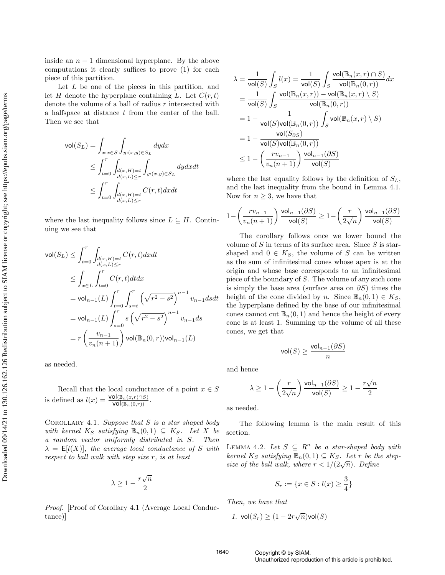inside an  $n-1$  dimensional hyperplane. By the above computations it clearly suffices to prove (1) for each piece of this partition.

Let  $L$  be one of the pieces in this partition, and let H denote the hyperplane containing L. Let  $C(r, t)$ denote the volume of a ball of radius  $r$  intersected with a halfspace at distance  $t$  from the center of the ball. Then we see that

$$
\text{vol}(S_L) = \int_{x:x \in S} \int_{y:(x,y) \in S_L} dy dx
$$
\n
$$
\leq \int_{t=0}^r \int_{\substack{d(x,H)=t \\ d(x,L) \leq r}} \int_{y:(x,y) \in S_L} dy dx dt
$$
\n
$$
\leq \int_{t=0}^r \int_{\substack{d(x,H)=t \\ d(x,L) \leq r}} C(r,t) dx dt
$$

where the last inequality follows since  $L \subseteq H$ . Continuing we see that

Let *H* denote the hyperplane columns *L*. Let 
$$
C(r, t)
$$
 is  
\n
$$
\sum_{i=0}^{\infty} \frac{\sinh(\pi x_i - \pi)}{\sinh(\pi x_i - \pi)} = 1 - \frac{1}{\cos(\beta_0)} \int_{S} \frac{\cos(\mu_0, (x, r)) - \cos(\mu_0, (x, r))}{\cos(\mu_0, (0, r))} = 0
$$
\n
$$
\sum_{i=0}^{\infty} \int_{S(\xi, \mu) = \int_{s(x, \mu) = s}^{\infty} \int_{y(x, \mu) = s}^{\infty} dy dx
$$
\n
$$
= 1 - \frac{\cos(S_{00})}{\cos(S_{00})}
$$
\n
$$
\sum_{i=0}^{\infty} \int_{S(\xi, \mu) = \int_{s(x, \mu) = s}^{\infty} \int_{y(x, \mu) = s}^{\infty} dy dx
$$
\n
$$
= 1 - \frac{\cos(S_{00})}{\cos(S_{00})}
$$
\n
$$
\sum_{i=0}^{\infty} \int_{S(\xi, \mu) = \int_{s(x, \mu) = s}^{\infty} (r, t) dx dt
$$
\nwhere the last inequality follows since  $L \subseteq H$ . Countin -  $1 - (\frac{r\mu_0 - 1}{\mu_0 - 1}) \frac{\omega \omega_{0.1} - (0.8)}{\omega(0.8)}) = 1 - (\frac{r}{\sqrt{\mu_0}}) \frac{\omega_{0.1} - (0.8)}{\omega(0.8)}) = 1 - (\frac{r}{\sqrt{\mu_0}}) \frac{\omega_{0.1} - (0.8)}{\omega(0.8)}) = 1 - (\frac{r}{\sqrt{\mu_0}}) \frac{\omega_{0.1} - (0.8)}{\omega(0.8)}) = 1 - (\frac{r}{\sqrt{\mu_0}}) \frac{\omega_{0.1} - (0.8)}{\omega(0.8)}) = 1 - (\frac{r}{\sqrt{\mu_0}}) \frac{\omega_{0.1} - (0.8)}{\omega(0.8)}) = 1 - (\frac{r}{\sqrt{\mu_0}}) \frac{\omega_{0.1} - (0.8)}{\omega(0.8)}) = 1 - (\frac{r}{\sqrt{\mu_0}}) \frac{\omega_{0.1} - (0.8)}{\omega(0.8)}) = 1 - (\frac{r}{\sqrt{\mu_0}}) \frac{\omega_{0.1} - (0$ 

as needed.

Recall that the local conductance of a point  $x \in S$ is defined as  $l(x) = \frac{\text{vol}(\mathbb{B}_n(x,r) \cap S)}{\text{vol}(\mathbb{B}_n(0,r))}$ .

COROLLARY 4.1. Suppose that  $S$  is a star shaped body with kernel  $K_S$  satisfying  $\mathbb{B}_n(0,1) \subseteq K_S$ . Let X be a random vector uniformly distributed in S. Then  $\lambda = \mathsf{E}[l(X)]$ , the average local conductance of S with respect to ball walk with step size r, is at least

$$
\lambda \ge 1 - \frac{r\sqrt{n}}{2}
$$

Proof. [Proof of Corollary 4.1 (Average Local Conductance)]

$$
\begin{aligned} \lambda &= \frac{1}{\text{vol}(S)}\int_S l(x) = \frac{1}{\text{vol}(S)}\int_S \frac{\text{vol}(\mathbb{B}_n(x,r)\cap S)}{\text{vol}(\mathbb{B}_n(0,r))} dx \\ &= \frac{1}{\text{vol}(S)}\int_S \frac{\text{vol}(\mathbb{B}_n(x,r)) - \text{vol}(\mathbb{B}_n(x,r)\setminus S)}{\text{vol}(\mathbb{B}_n(0,r))} \\ &= 1 - \frac{1}{\text{vol}(S)\text{vol}(\mathbb{B}_n(0,r))}\int_S \text{vol}(\mathbb{B}_n(x,r)\setminus S) \\ &= 1 - \frac{\text{vol}(S_{\partial S})}{\text{vol}(S)\text{vol}(\mathbb{B}_n(0,r))} \\ &\leq 1 - \left(\frac{rv_{n-1}}{v_n(n+1)}\right)\frac{\text{vol}_{n-1}(\partial S)}{\text{vol}(S)} \end{aligned}
$$

where the last equality follows by the definition of  $S_L$ , and the last inequality from the bound in Lemma 4.1. Now for  $n \geq 3$ , we have that

$$
1 - \left(\frac{rv_{n-1}}{v_n(n+1)}\right) \frac{\text{vol}_{n-1}(\partial S)}{\text{vol}(S)} \ge 1 - \left(\frac{r}{2\sqrt{n}}\right) \frac{\text{vol}_{n-1}(\partial S)}{\text{vol}(S)}
$$

The corollary follows once we lower bound the volume of  $S$  in terms of its surface area. Since  $S$  is starshaped and  $0 \in K_S$ , the volume of S can be written as the sum of infinitesimal cones whose apex is at the origin and whose base corresponds to an infinitesimal piece of the boundary of S. The volume of any such cone is simply the base area (surface area on  $\partial S$ ) times the height of the cone divided by n. Since  $\mathbb{B}_n(0,1) \in K_S$ , the hyperplane defined by the base of our infinitesimal cones cannot cut  $\mathbb{B}_n(0,1)$  and hence the height of every cone is at least 1. Summing up the volume of all these cones, we get that

$$
\text{vol}(S) \ge \frac{\text{vol}_{n-1}(\partial S)}{n}
$$

and hence

$$
\lambda \geq 1 - \left(\frac{r}{2\sqrt{n}}\right) \frac{\mathrm{vol}_{n-1}(\partial S)}{\mathrm{vol}(S)} \geq 1 - \frac{r\sqrt{n}}{2}
$$

as needed.

The following lemma is the main result of this section.

LEMMA 4.2. Let  $S \subseteq R^n$  be a star-shaped body with kernel  $K_S$  satisfying  $\mathbb{B}_n(0,1) \subseteq K_S$ . Let r be the stepsize of the ball walk, where  $r < 1/(2\sqrt{n})$ . Define

$$
S_r := \{ x \in S : l(x) \ge \frac{3}{4} \}
$$

Then, we have that

1. vol
$$
(S_r) \ge (1 - 2r\sqrt{n})
$$
vol $(S)$ 

# 1640 Copyright © by SIAM.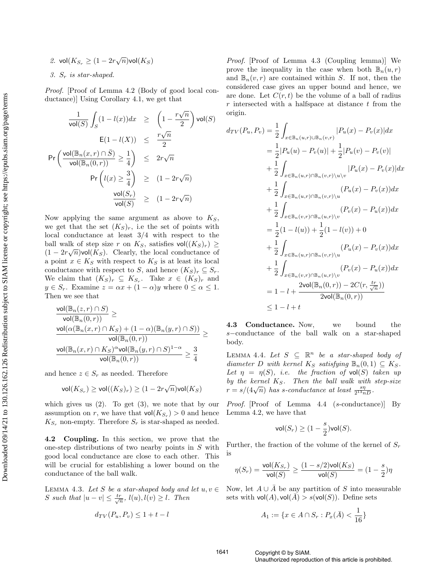### 3.  $S_r$  is star-shaped.

Proof. [Proof of Lemma 4.2 (Body of good local conductance)] Using Corollary 4.1, we get that

$$
\frac{1}{\text{vol}(S)} \int_S (1 - l(x)) dx \ge \left(1 - \frac{r\sqrt{n}}{2}\right) \text{vol}(S)
$$
  
\n
$$
\text{E}(1 - l(X)) \le \frac{r\sqrt{n}}{2}
$$
  
\n
$$
\text{Pr}\left(\frac{\text{vol}(\mathbb{B}_n(x, r) \cap \bar{S})}{\text{vol}(\mathbb{B}_n(0, r))} \ge \frac{1}{4}\right) \le 2r\sqrt{n}
$$
  
\n
$$
\text{Pr}\left(l(x) \ge \frac{3}{4}\right) \ge (1 - 2r\sqrt{n})
$$
  
\n
$$
\frac{\text{vol}(S_r)}{\text{vol}(S)} \ge (1 - 2r\sqrt{n})
$$

Now applying the same argument as above to  $K_S$ , we get that the set  $(K_S)<sub>r</sub>$ , i.e the set of points with local conductance at least 3/4 with respect to the ball walk of step size r on  $K_S$ , satisfies  $vol((K_S)_r) \geq$  $(1 - 2r\sqrt{n})$ vol $(K_S)$ . Clearly, the local conductance of a point  $x \in K_S$  with respect to  $K_S$  is at least its local conductance with respect to S, and hence  $(K_S)_r \subseteq S_r$ . We claim that  $(K_S)_r \subseteq K_{S_r}$ . Take  $x \in (K_S)_r$  and  $y \in S_r$ . Examine  $z = \alpha x + (1 - \alpha)y$  where  $0 \le \alpha \le 1$ . Then we see that

$$
\begin{aligned} &\frac{\mathsf{vol}(\mathbb{B}_n(z,r)\cap S)}{\mathsf{vol}(\mathbb{B}_n(0,r))}\geq\\ &\frac{\mathsf{vol}(\alpha(\mathbb{B}_n(x,r)\cap K_S)+(1-\alpha)(\mathbb{B}_n(y,r)\cap S))}{\mathsf{vol}(\mathbb{B}_n(0,r))}\geq\\ &\frac{\mathsf{vol}(\mathbb{B}_n(x,r)\cap K_S)^\alpha\mathsf{vol}(\mathbb{B}_n(y,r)\cap S)^{1-\alpha}}{\mathsf{vol}(\mathbb{B}_n(0,r))}\geq\frac{3}{4}\end{aligned}
$$

and hence  $z \in S_r$  as needed. Therefore

$$
\text{vol}(K_{S_r}) \ge \text{vol}((K_S)_r) \ge (1 - 2r\sqrt{n})\text{vol}(K_S)
$$

which gives us  $(2)$ . To get  $(3)$ , we note that by our assumption on r, we have that  $vol(K_{S_r}) > 0$  and hence  $K_{S_r}$  non-empty. Therefore  $S_r$  is star-shaped as needed.

4.2 Coupling. In this section, we prove that the one-step distributions of two nearby points in  $S$  with good local conductance are close to each other. This will be crucial for establishing a lower bound on the conductance of the ball walk.

LEMMA 4.3. Let S be a star-shaped body and let  $u, v \in$ S such that  $|u - v| \leq \frac{tr}{\sqrt{n}}$ ,  $l(u)$ ,  $l(v) \geq l$ . Then

$$
d_{TV}(P_u, P_v) \le 1 + t - l
$$

Proof. [Proof of Lemma 4.3 (Coupling lemma)] We prove the inequality in the case when both  $\mathbb{B}_n(u,r)$ and  $\mathbb{B}_n(v,r)$  are contained within S. If not, then the considered case gives an upper bound and hence, we are done. Let  $C(r, t)$  be the volume of a ball of radius  $r$  intersected with a halfspace at distance  $t$  from the origin.

 $d_{TV}$ 

ductance) Using Corollary 41, we get that  
\n
$$
\frac{1}{\text{vol}(S)} \int_S (1-l(x)) dx \geq \left(1-\frac{r\sqrt{n}}{2}\right) \text{vol}(S) \qquad \text{or } \frac{r\ln(\pi s - 1 + \sigma)}{2} \int_{\pi s\in\pi_{\text{tot}}(0,r)} \int_{\pi s\in\pi_{\text{tot}}(0,r)} \int_{\pi s\in\pi_{\text{tot}}(0,r)} \int_{\pi s\in\pi_{\text{tot}}(0,r)} \int_{\pi s\in\pi_{\text{tot}}(0,r)} \int_{\pi s\in\pi_{\text{tot}}(0,r)} \int_{\pi s\in\pi_{\text{tot}}(0,r)} \int_{\pi s\in\pi_{\text{tot}}(0,r)} \int_{\pi s\in\pi_{\text{tot}}(0,r)} \int_{\pi s\in\pi_{\text{tot}}(0,r)} \int_{\pi s\in\pi_{\text{tot}}(0,r)} \int_{\pi s\in\pi_{\text{tot}}(0,r)} \int_{\pi s\in\pi_{\text{tot}}(0,r)} \int_{\pi s\in\pi_{\text{tot}}(0,r)} \int_{\pi s\in\pi_{\text{tot}}(0,r)} \int_{\pi s\in\pi_{\text{tot}}(0,r)} \int_{\pi s\in\pi_{\text{tot}}(0,r)} \int_{\pi s\in\pi_{\text{tot}}(0,r)} \int_{\pi s\in\pi_{\text{tot}}(0,r)} \int_{\pi s\in\pi_{\text{tot}}(0,r)} \int_{\pi s\in\pi_{\text{tot}}(0,r)} \int_{\pi s\in\pi_{\text{tot}}(0,r)} \int_{\pi s\in\pi_{\text{tot}}(0,r)} \int_{\pi s\in\pi_{\text{tot}}(0,r)} \int_{\pi s\in\pi_{\text{tot}}(0,r)} \int_{\pi s\in\pi_{\text{tot}}(0,r)} \int_{\pi s\in\pi_{\text{tot}}(0,r)} \int_{\pi s\in\pi_{\text{tot}}(0,r)} \int_{\pi s\in\pi_{\text{tot}}(0,r)} \int_{\pi s\in\pi_{\text{tot}}(0,r)} \int_{\pi s\in\pi_{\text{tot}}(0,r)} \int_{\pi s\in\pi_{\text{tot}}(0,r)} \int_{\pi s\in\pi_{\text{tot}}(0,r)} \int_{\pi s\
$$

4.3 Conductance. Now, we bound the s−conductance of the ball walk on a star-shaped body.

LEMMA 4.4. Let  $S \subseteq \mathbb{R}^n$  be a star-shaped body of diameter D with kernel  $K_S$  satisfying  $\mathbb{B}_n(0,1) \subseteq K_S$ . Let  $\eta = \eta(S)$ , i.e. the fraction of vol(S) taken up by the kernel  $K_S$ . Then the ball walk with step-size by the kernet  $\Lambda_S$ . Then the ball walk with<br> $r = s/(4\sqrt{n})$  has s-conductance at least  $\frac{s\eta}{2^{13}nD}$ .

Proof. [Proof of Lemma 4.4 (s-conductance)] By Lemma 4.2, we have that

$$
\text{vol}(S_r) \ge (1 - \frac{s}{2})\text{vol}(S).
$$

Further, the fraction of the volume of the kernel of  $S_r$ is

$$
\eta(S_r) = \frac{\text{vol}(K_{S_r})}{\text{vol}(S)} \ge \frac{(1 - s/2)\text{vol}(K_S)}{\text{vol}(S)} = (1 - \frac{s}{2})\eta
$$

Now, let  $A \cup \overline{A}$  be any partition of S into measurable sets with  $vol(A)$ ,  $vol(A) > s(vol(S))$ . Define sets

$$
A_1:=\{x\in A\cap S_r: P_x(\bar{A})<\frac{1}{16}\}
$$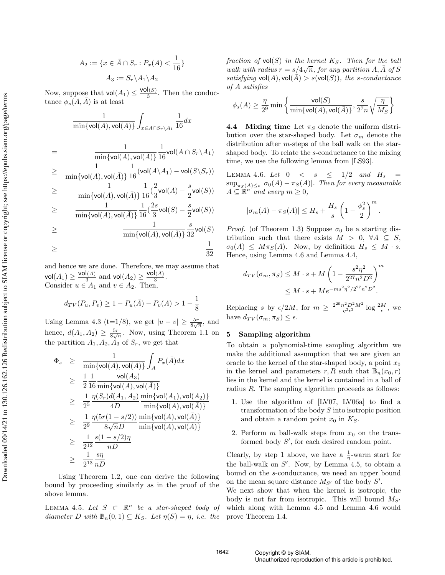$$
A_2 := \{ x \in \bar{A} \cap S_r : P_x(A) < \frac{1}{16} \}
$$
\n
$$
A_3 := S_r \backslash A_1 \backslash A_2
$$

Now, suppose that  $\text{vol}(A_1) \leq \frac{\text{vol}(S)}{3}$ . Then the conductance  $\phi_s(A, \overline{A})$  is at least

$$
\frac{1}{\min\{\mathrm{vol}(A),\mathrm{vol}(\bar{A})\}}\int_{x\in A\cap S_r\backslash A_1}\frac{1}{16}dx
$$

$$
= \frac{1}{\min\{\text{vol}(A),\text{vol}(\bar{A})\}}\frac{1}{16}\text{vol}(A\cap S_r\backslash A_1)
$$

$$
\geq \frac{1}{\min\{\text{vol}(A),\text{vol}(\bar{A})\}}\frac{1}{16}(\text{vol}(A\backslash A_1)-\text{vol}(S\backslash S_r))
$$

$$
\geq \frac{1}{\min\{\text{vol}(A),\text{vol}(\bar{A})\}} \frac{1}{16} (\frac{2}{3} \text{vol}(A) - \frac{s}{2} \text{vol}(S))
$$

$$
\geq \frac{1}{\min\{\text{vol}(A),\text{vol}(\bar{A})\}} \frac{1}{16} \left(\frac{2s}{3}\text{vol}(S) - \frac{s}{2}\text{vol}(S)\right)
$$

$$
\geq \frac{1}{\min\{\text{vol}(A), \text{vol}(\bar{A})\}} \frac{1}{32} \text{vol}(S)
$$
  

$$
\geq \frac{1}{32}
$$

and hence we are done. Therefore, we may assume that vol $(A_1) \ge \frac{\text{vol}(A)}{3}$  and vol $(A_2) \ge \frac{\text{vol}(\bar{A})}{3}$ . Consider  $u \in A_1$  and  $v \in A_2$ . Then,

$$
d_{TV}(P_u, P_v) \ge 1 - P_u(\bar{A}) - P_v(A) > 1 - \frac{1}{8}
$$

Using Lemma 4.3 (t=1/8), we get  $|u - v| \ge \frac{5r}{8\sqrt{n}}$ , and hence,  $d(A_1, A_2) \ge \frac{5r}{8\sqrt{n}}$ . Now, using Theorem 1.1 on the partition  $A_1, A_2, A_3$  of  $S_r$ , we get that

Φ<sup>s</sup> ≥ 1 min{vol(A), vol(A¯)} Z A Px(A¯)dx ≥ 1 2 1 16 vol(A3) min{vol(A), vol(A¯)} ≥ 1 2 5 η(Sr)d(A1, A2) 4D min{vol(A1), vol(A2)} min{vol(A), vol(A¯)} ≥ 1 2 9 η(5r(1 − s/2)) 8 √ nD min{vol(A), vol(A¯)} min{vol(A), vol(A¯)} ≥ 1 2 12 s(1 − s/2)η nD ≥ 1 2 13 sη nD Unauthorized reproduction of this article is prohibited. Downloaded 09/14/21 to 130.126.162.126 Redistribution subject to SIAM license or copyright; see https://epubs.siam.org/page/terms

Using Theorem 1.2, one can derive the following bound by proceeding similarly as in the proof of the above lemma.

LEMMA 4.5. Let  $S \subset \mathbb{R}^n$  be a star-shaped body of diameter D with  $\mathbb{B}_n(0,1) \subseteq K_S$ . Let  $\eta(S) = \eta$ , i.e. the fraction of  $vol(S)$  in the kernel  $K_S$ . Then for the ball walk with radius  $r = s/4\sqrt{n}$ , for any partition  $A, \overline{A}$  of S satisfying  $vol(A)$ ,  $vol(A) > s(vol(S))$ , the s-conductance of A satisfies

$$
\phi_s(A) \geq \frac{\eta}{2^9} \min \left\{ \frac{\text{vol}(S)}{\min \{ \text{vol}(A), \text{vol}(\bar{A}) \}}, \frac{s}{2^7 n} \sqrt{\frac{\eta}{M_S}} \right\}
$$

**4.4** Mixing time Let  $\pi_S$  denote the uniform distribution over the star-shaped body. Let  $\sigma_m$  denote the distribution after *m*-steps of the ball walk on the starshaped body. To relate the s-conductance to the mixing time, we use the following lemma from [LS93].

LEMMA 4.6. Let  $0 \lt s \leq 1/2$  and  $H_s =$  $\sup_{\pi_S(A)\le s} |\sigma_0(A)-\pi_S(A)|$ . Then for every measurable  $A \subseteq \mathbb{R}^n$  and every  $m \geq 0$ ,

$$
|\sigma_m(A)-\pi_S(A)| \leq H_s + \frac{H_s}{s} \left(1 - \frac{\phi_s^2}{2}\right)^m.
$$

*Proof.* (of Theorem 1.3) Suppose  $\sigma_0$  be a starting distribution such that there exists  $M > 0$ ,  $\forall A \subseteq S$ ,  $\sigma_0(A) \leq M\pi_S(A)$ . Now, by definition  $H_s \leq M \cdot s$ . Hence, using Lemma 4.6 and Lemma 4.4,

$$
d_{TV}(\sigma_m, \pi_S) \le M \cdot s + M \left( 1 - \frac{s^2 \eta^2}{2^2 \tau_n^2 D^2} \right)^m
$$
  
 
$$
\le M \cdot s + M e^{-m s^2 \eta^2 / 2^{27} n^2 D^2}.
$$

Replacing s by  $\epsilon/2M$ , for  $m \geq \frac{2^{29}n^2D^2M^2}{\eta^2\epsilon^2} \log \frac{2M}{\epsilon}$ , we have  $d_{TV}(\sigma_m, \pi_S) \leq \epsilon$ .

### 5 Sampling algorithm

To obtain a polynomial-time sampling algorithm we make the additional assumption that we are given an oracle to the kernel of the star-shaped body, a point  $x_0$ in the kernel and parameters r, R such that  $\mathbb{B}_n(x_0,r)$ lies in the kernel and the kernel is contained in a ball of radius R. The sampling algorithm proceeds as follows:

- 1. Use the algorithm of [LV07, LV06a] to find a transformation of the body S into isotropic position and obtain a random point  $x_0$  in  $K_S$ .
- 2. Perform m ball-walk steps from  $x_0$  on the transformed body  $S'$ , for each desired random point.

Clearly, by step 1 above, we have a  $\frac{1}{\eta}$ -warm start for the ball-walk on  $S'$ . Now, by Lemma 4.5, to obtain a bound on the s-conductance, we need an upper bound on the mean square distance  $M_{S'}$  of the body  $S'$ .

We next show that when the kernel is isotropic, the body is not far from isotropic. This will bound  $M_{S'}$ which along with Lemma 4.5 and Lemma 4.6 would prove Theorem 1.4.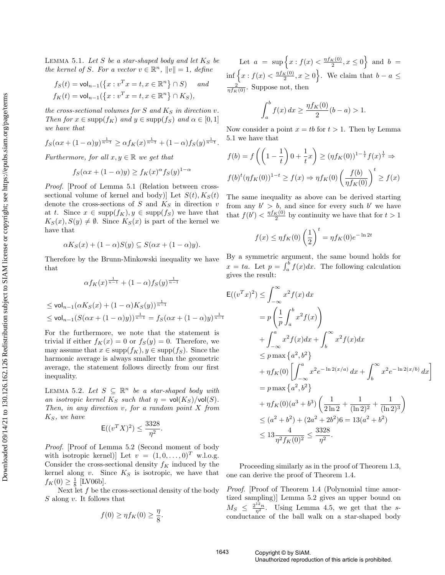LEMMA 5.1. Let S be a star-shaped body and let  $K_S$  be the kernel of S. For a vector  $v \in \mathbb{R}^n$ ,  $||v|| = 1$ , define

$$
f_S(t) = \text{vol}_{n-1}(\left\{x : v^T x = t, x \in \mathbb{R}^n\right\} \cap S) \quad and
$$
  

$$
f_K(t) = \text{vol}_{n-1}(\left\{x : v^T x = t, x \in \mathbb{R}^n\right\} \cap K_S),
$$

the cross-sectional volumes for  $S$  and  $K_S$  in direction v. Then for  $x \in \text{supp}(f_K)$  and  $y \in \text{supp}(f_S)$  and  $\alpha \in [0,1]$ we have that

$$
f_S(\alpha x + (1 - \alpha)y)^{\frac{1}{n-1}} \geq \alpha f_K(x)^{\frac{1}{n-1}} + (1 - \alpha)f_S(y)^{\frac{1}{n-1}}.
$$

Furthermore, for all  $x, y \in \mathbb{R}$  we get that

$$
f_S(\alpha x + (1 - \alpha)y) \ge f_K(x)^{\alpha} f_S(y)^{1 - \alpha}
$$

Proof. [Proof of Lemma 5.1 (Relation between crosssectional volume of kernel and body)] Let  $S(t)$ ,  $K_S(t)$ denote the cross-sections of  $S$  and  $K_S$  in direction v at t. Since  $x \in \text{supp}(f_K)$ ,  $y \in \text{supp}(f_S)$  we have that  $K_S(x), S(y) \neq \emptyset$ . Since  $K_S(x)$  is part of the kernel we have that

$$
\alpha K_S(x) + (1 - \alpha)S(y) \subseteq S(\alpha x + (1 - \alpha)y).
$$

Therefore by the Brunn-Minkowski inequality we have that

$$
\alpha f_K(x)^{\frac{1}{n-1}} + (1 - \alpha) f_S(y)^{\frac{1}{n-1}}
$$
  
\n
$$
\leq \text{vol}_{n-1} (\alpha K_S(x) + (1 - \alpha) K_S(y))^{\frac{1}{n-1}}
$$
  
\n
$$
\leq \text{vol}_{n-1} (S(\alpha x + (1 - \alpha)y))^{\frac{1}{n-1}} = f_S(\alpha x + (1 - \alpha)y)^{\frac{1}{n-1}}
$$

For the furthermore, we note that the statement is trivial if either  $f_K(x) = 0$  or  $f_S(y) = 0$ . Therefore, we may assume that  $x \in \text{supp}(f_K)$ ,  $y \in \text{supp}(f_S)$ . Since the harmonic average is always smaller than the geometric average, the statement follows directly from our first inequality.

LEMMA 5.2. Let  $S \subseteq \mathbb{R}^n$  be a star-shaped body with an isotropic kernel  $K_S$  such that  $\eta = \text{vol}(K_S)/\text{vol}(S)$ . Then, in any direction  $v$ , for a random point  $X$  from  $K_S$ , we have

$$
\mathsf{E}((v^TX)^2) \le \frac{3328}{\eta^2}.
$$

Proof. [Proof of Lemma 5.2 (Second moment of body with isotropic kernel)] Let  $v = (1, 0, \ldots, 0)^T$  w.l.o.g. Consider the cross-sectional density  $f_K$  induced by the kernel along  $v$ . Since  $K_S$  is isotropic, we have that  $f_K(0) \ge \frac{1}{8}$  [LV06b].

Next let  $f$  be the cross-sectional density of the body  $S$  along  $v$ . It follows that

$$
f(0) \geq \eta f_K(0) \geq \frac{\eta}{8}.
$$

Let  $a = \sup \left\{ x : f(x) < \frac{\eta f_K(0)}{2}, x \le 0 \right\}$  and  $b =$  $\inf \left\{ x : f(x) < \frac{\eta f_K(0)}{2}, x \ge 0 \right\}$ . We claim that  $b - a \le$  $\frac{2}{\eta f_K(0)}$ . Suppose not, then

$$
\int_{a}^{b} f(x) dx \ge \frac{\eta f_K(0)}{2} (b - a) > 1.
$$

Now consider a point  $x = tb$  for  $t > 1$ . Then by Lemma 5.1 we have that

$$
f(b) = f\left(\left(1 - \frac{1}{t}\right)0 + \frac{1}{t}x\right) \ge (\eta f_K(0))^{1 - \frac{1}{t}} f(x)^{\frac{1}{t}} \Rightarrow
$$
  

$$
f(b)^t (\eta f_K(0))^{1 - t} \ge f(x) \Rightarrow \eta f_K(0) \left(\frac{f(b)}{\eta f_K(0)}\right)^t \ge f(x)
$$

The same inequality as above can be derived starting from any  $b' > b$ , and since for every such b' we have that  $f(b') < \frac{\eta f_K(0)}{2}$  by continuity we have that for  $t > 1$ 

$$
f(x) \leq \eta f_K(0) \left(\frac{1}{2}\right)^t = \eta f_K(0) e^{-\ln 2t}
$$

By a symmetric argument, the same bound holds for  $x = ta$ . Let  $p = \int_a^b f(x)dx$ . The following calculation gives the result:

$$
\oint_{\frac{5}{2}} f_K(t) = \text{vol}_{n-1}(\{x : v' x = t, x \in \mathbb{R}^n\})
$$
\nthe cross section volume for S and K<sub>0</sub> and  $f_K(t) = \text{vol}_{K(t)}(t) = \text{vol}_{K(t)}(t) = \text{vol}_{K(t)}(t) = \text{vol}_{K(t)}(t) = \text{vol}_{K(t)}(t) = \text{vol}_{K(t)}(t) = \text{vol}_{K(t)}(t) = \text{vol}_{K(t)}(t) = \text{vol}_{K(t)}(t) = \text{vol}_{K(t)}(t) = \text{vol}_{K(t)}(t) = \text{vol}_{K(t)}(t) = \text{vol}_{K(t)}(t) = \text{vol}_{K(t)}(t) = \text{vol}_{K(t)}(t) = \text{vol}_{K(t)}(t) = \text{vol}_{K(t)}(t) = \text{vol}_{K(t)}(t) = \text{vol}_{K(t)}(t) = \text{vol}_{K(t)}(t) = \text{vol}_{K(t)}(t) = \text{vol}_{K(t)}(t) = \text{vol}_{K(t)}(t) = \text{vol}_{K(t)}(t) = \text{vol}_{K(t)}(t) = \text{vol}_{K(t)}(t) = \text{vol}_{K(t)}(t) = \text{vol}_{K(t)}(t) = \text{vol}_{K(t)}(t) = \text{vol}_{K(t)}(t) = \text{vol}_{K(t)}(t) = \text{vol}_{K(t)}(t) = \text{vol}_{K(t)}(t) = \text{vol}_{K(t)}(t) = \text{vol}_{K(t)}(t) = \text{vol}_{K(t)}(t) = \text{vol}_{K(t)}(t) = \text{vol}_{K(t)}(t) = \text{vol}_{K(t)}(t) = \text{vol}_{K(t)}(t) = \text{vol}_{K(t)}(t) = \text{vol}_{K(t)}(t) = \text{vol}_{K(t)}(t) = \text{vol}_{K(t)}(t) = \text{vol}_{K(t)}(t) = \text{vol}_{K(t)}(t) = \text{vol}_{K(t)}(t) = \text{vol}_{K(t)}(t) = \text{vol}_{K(t)}(t) = \text{vol}_{K(t)}(t) = \text{vol}_{K(t)}(t) = \text{vol}_{K(t)}(t) = \text{vol}_{K(t)}(t) = \text{vol}_{K(t)}(t) = \text{vol}_{K(t)}(t) = \text{vol}_{K(t)}(t) = \text{vol}_{K(t)}(t) = \text$ 

Proceeding similarly as in the proof of Theorem 1.3, one can derive the proof of Theorem 1.4.

Proof. [Proof of Theorem 1.4 (Polynomial time amortized sampling)] Lemma 5.2 gives an upper bound on  $M_S \leq \frac{2^{12}n}{\eta^2}$ . Using Lemma 4.5, we get that the sconductance of the ball walk on a star-shaped body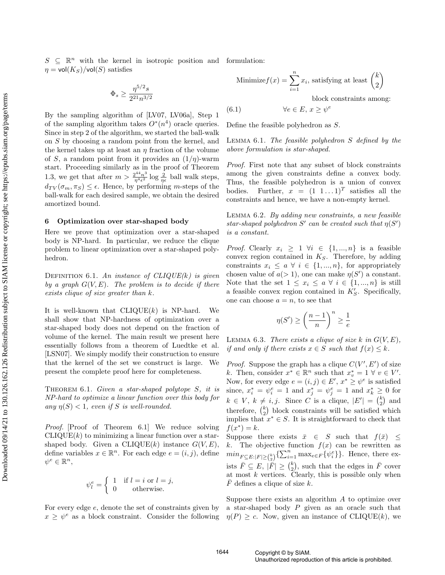$S \subseteq \mathbb{R}^n$  with the kernel in isotropic position and formulation:  $\eta = \text{vol}(K_S)/\text{vol}(S)$  satisfies

$$
\Phi_s\geq \frac{\eta^{5/2}s}{2^{21}n^{3/2}}
$$

By the sampling algorithm of [LV07, LV06a], Step 1 of the sampling algorithm takes  $O^*(n^4)$  oracle queries. Since in step 2 of the algorithm, we started the ball-walk on S by choosing a random point from the kernel, and the kernel takes up at least an  $\eta$  fraction of the volume of S, a random point from it provides an  $(1/\eta)$ -warm start. Proceeding similarly as in the proof of Theorem 1.3, we get that after  $m > \frac{2^{44} n^3}{n^4 \epsilon^2}$  $\frac{2^{44}n^3}{\eta^4\epsilon^2}$  log  $\frac{2}{\eta\epsilon}$  ball walk steps,  $d_{TV}(\sigma_m, \pi_S) \leq \epsilon$ . Hence, by performing *m*-steps of the ball-walk for each desired sample, we obtain the desired amortized bound. Uniter control of the complete is probable into the control of the control of the control of the control of the control of the control of the control of the control of the control of the control of the control of the con

#### 6 Optimization over star-shaped body

Here we prove that optimization over a star-shaped body is NP-hard. In particular, we reduce the clique problem to linear optimization over a star-shaped polyhedron.

DEFINITION 6.1. An instance of  $CLIQUE(k)$  is given by a graph  $G(V, E)$ . The problem is to decide if there exists clique of size greater than k.

It is well-known that  $CLIQUE(k)$  is NP-hard. We shall show that NP-hardness of optimization over a star-shaped body does not depend on the fraction of volume of the kernel. The main result we present here essentially follows from a theorem of Luedtke et al. [LSN07]. We simply modify their construction to ensure that the kernel of the set we construct is large. We present the complete proof here for completeness.

THEOREM 6.1. Given a star-shaped polytope S, it is NP-hard to optimize a linear function over this body for any  $\eta(S) < 1$ , even if S is well-rounded.

Proof. [Proof of Theorem 6.1] We reduce solving  $CLIQUE(k)$  to minimizing a linear function over a starshaped body. Given a CLIQUE $(k)$  instance  $G(V, E)$ , define variables  $x \in \mathbb{R}^n$ . For each edge  $e = (i, j)$ , define  $\psi^e \in \mathbb{R}^n$ ,

$$
\psi_l^e = \begin{cases} 1 & \text{if } l = i \text{ or } l = j, \\ 0 & \text{otherwise.} \end{cases}
$$

For every edge e, denote the set of constraints given by  $x \geq \psi^e$  as a block constraint. Consider the following

Minimize 
$$
f(x) = \sum_{i=1}^{n} x_i
$$
, satisfying at least  $\binom{k}{2}$   
block constraints among:  
(6.1)  $\forall e \in E, x \ge \psi^e$ 

Define the feasible polyhedron as S.

LEMMA  $6.1$ . The feasible polyhedron S defined by the above formulation is star-shaped.

Proof. First note that any subset of block constraints among the given constraints define a convex body. Thus, the feasible polyhedron is a union of convex bodies. Further,  $x = (1 \ 1 \dots 1)^T$  satisfies all the constraints and hence, we have a non-empty kernel.

Lemma 6.2. By adding new constraints, a new feasible star-shaped polyhedron  $S'$  can be created such that  $\eta(S')$ is a constant.

*Proof.* Clearly  $x_i \geq 1 \ \forall i \in \{1, ..., n\}$  is a feasible convex region contained in  $K_S$ . Therefore, by adding constraints  $x_i \leq a \ \forall \ i \in \{1, ..., n\}$ , for appropriately chosen value of  $a(> 1)$ , one can make  $\eta(S')$  a constant. Note that the set  $1 \leq x_i \leq a \ \forall \ i \in \{1, ..., n\}$  is still a feasible convex region contained in  $K_S'$ . Specifically, one can choose  $a = n$ , to see that

$$
\eta(S')\geq \left(\frac{n-1}{n}\right)^n\geq \frac{1}{e}
$$

LEMMA 6.3. There exists a clique of size k in  $G(V, E)$ , if and only if there exists  $x \in S$  such that  $f(x) \leq k$ .

*Proof.* Suppose the graph has a clique  $C(V', E')$  of size k. Then, consider  $x^* \in \mathbb{R}^n$  such that  $x_v^* = 1 \ \forall \ v \in V'.$ Now, for every edge  $e = (i, j) \in E', x^* \geq \psi^e$  is satisfied since,  $x_i^* = \psi_i^e = 1$  and  $x_j^* = \psi_j^e = 1$  and  $x_k^* \geq 0$  for  $k \in V, k \neq i, j.$  Since C is a clique,  $|E'| = {k \choose 2}$  and therefore,  $\binom{k}{2}$  block constraints will be satisfied which implies that  $x^* \in S$ . It is straightforward to check that  $f(x^*)=k.$ 

Suppose there exists  $\bar{x} \in S$  such that  $f(\bar{x}) \leq$ k. The objective function  $f(x)$  can be rewritten as  $min_{F \subseteq E: |F| \geq {k \choose 2}} {\sum_{i=1}^{n} \max_{e \in F} {\psi_e^e}}.$  Hence, there exists  $\bar{F} \subseteq E$ ,  $|\bar{F}| \geq {k \choose 2}$ , such that the edges in  $\bar{F}$  cover at most  $k$  vertices. Clearly, this is possible only when  $\overline{F}$  defines a clique of size k.

Suppose there exists an algorithm A to optimize over a star-shaped body P given as an oracle such that  $\eta(P) \geq c$ . Now, given an instance of CLIQUE(k), we